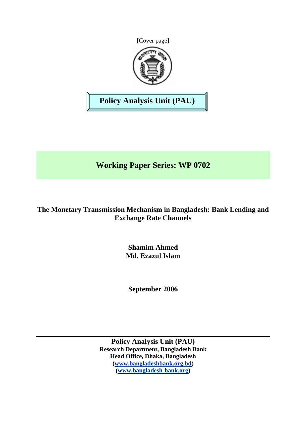



**Policy Analysis Unit (PAU)** 

# **Working Paper Series: WP 0702**

# **The Monetary Transmission Mechanism in Bangladesh: Bank Lending and Exchange Rate Channels**

**Shamim Ahmed Md. Ezazul Islam** 

**September 2006** 

**Policy Analysis Unit (PAU) Research Department, Bangladesh Bank Head Office, Dhaka, Bangladesh ([www.bangladeshbank.org.bd](http://www.bangladeshbank.org.bd/)) ([www.bangladesh-bank.org](http://www.bangladesh-bank.org/))**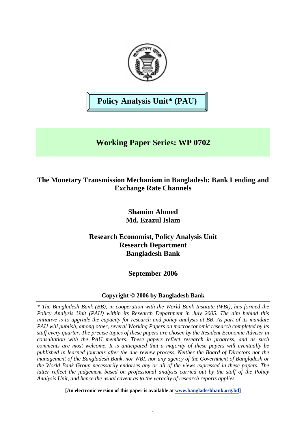

**Policy Analysis Unit\* (PAU)** 

# **Working Paper Series: WP 0702**

# **The Monetary Transmission Mechanism in Bangladesh: Bank Lending and Exchange Rate Channels**

# **Shamim Ahmed Md. Ezazul Islam**

# **Research Economist, Policy Analysis Unit Research Department Bangladesh Bank**

# **September 2006**

## **Copyright © 2006 by Bangladesh Bank**

*\* The Bangladesh Bank (BB), in cooperation with the World Bank Institute (WBI), has formed the Policy Analysis Unit (PAU) within its Research Department in July 2005. The aim behind this initiative is to upgrade the capacity for research and policy analysis at BB. As part of its mandate PAU will publish, among other, several Working Papers on macroeconomic research completed by its staff every quarter. The precise topics of these papers are chosen by the Resident Economic Adviser in consultation with the PAU members. These papers reflect research in progress, and as such comments are most welcome. It is anticipated that a majority of these papers will eventually be published in learned journals after the due review process. Neither the Board of Directors nor the management of the Bangladesh Bank, nor WBI, nor any agency of the Government of Bangladesh or the World Bank Group necessarily endorses any or all of the views expressed in these papers. The latter reflect the judgement based on professional analysis carried out by the staff of the Policy Analysis Unit, and hence the usual caveat as to the veracity of research reports applies.*

**[An electronic version of this paper is available at [www.bangladeshbank.org.bd](http://www.bangladeshbank.org.bd/research/pau.html)]**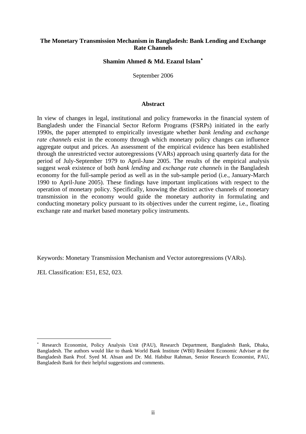#### **The Monetary Transmission Mechanism in Bangladesh: Bank Lending and Exchange Rate Channels**

**Shamim Ahmed & Md. Ezazul Islam**[∗](#page-2-0)

September 2006

#### **Abstract**

In view of changes in legal, institutional and policy frameworks in the financial system of Bangladesh under the Financial Sector Reform Programs (FSRPs) initiated in the early 1990s, the paper attempted to empirically investigate whether *bank lending* and *exchange rate channels* exist in the economy through which monetary policy changes can influence aggregate output and prices. An assessment of the empirical evidence has been established through the unrestricted vector autoregressions (VARs) approach using quarterly data for the period of July-September 1979 to April-June 2005. The results of the empirical analysis suggest *weak* existence of both *bank lending* and *exchange rate channels* in the Bangladesh economy for the full-sample period as well as in the sub-sample period (i.e., January-March 1990 to April-June 2005). These findings have important implications with respect to the operation of monetary policy. Specifically, knowing the distinct active channels of monetary transmission in the economy would guide the monetary authority in formulating and conducting monetary policy pursuant to its objectives under the current regime, i.e., floating exchange rate and market based monetary policy instruments.

Keywords: Monetary Transmission Mechanism and Vector autoregressions (VARs).

JEL Classification: E51, E52, 023.

 $\overline{a}$ 

<span id="page-2-0"></span><sup>∗</sup> Research Economist, Policy Analysis Unit (PAU), Research Department, Bangladesh Bank, Dhaka, Bangladesh. The authors would like to thank World Bank Institute (WBI) Resident Economic Adviser at the Bangladesh Bank Prof. Syed M. Ahsan and Dr. Md. Habibur Rahman, Senior Research Economist, PAU, Bangladesh Bank for their helpful suggestions and comments.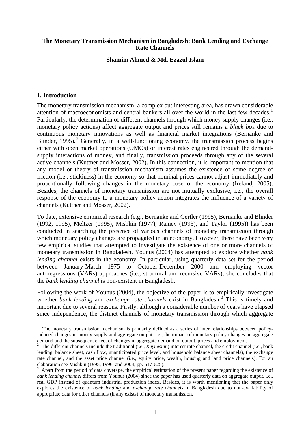#### **The Monetary Transmission Mechanism in Bangladesh: Bank Lending and Exchange Rate Channels**

**Shamim Ahmed & Md. Ezazul Islam** 

#### **1. Introduction**

The monetary transmission mechanism, a complex but interesting area, has drawn considerable attention of macroeconomists and central bankers all over the world in the last few decades.<sup>[1](#page-3-0)</sup> Particularly, the determination of different channels through which money supply changes (i.e., monetary policy actions) affect aggregate output and prices still remains a *black box* due to continuous monetary innovations as well as financial market integrations (Bernanke and Blinder, 1995).<sup>[2](#page-3-1)</sup> Generally, in a well-functioning economy, the transmission process begins either with open market operations (OMOs) or interest rates engineered through the demandsupply interactions of money, and finally, transmission proceeds through any of the several active channels (Kuttner and Mosser, 2002). In this connection, it is important to mention that any model or theory of transmission mechanism assumes the existence of some degree of friction (i.e., stickiness) in the economy so that nominal prices cannot adjust immediately and proportionally following changes in the monetary base of the economy (Ireland, 2005). Besides, the channels of monetary transmission are not mutually exclusive, i.e., the overall response of the economy to a monetary policy action integrates the influence of a variety of channels (Kuttner and Mosser, 2002).

To date, extensive empirical research (e.g., Bernanke and Gertler (1995), Bernanke and Blinder (1992, 1995), Meltzer (1995), Mishkin (1977), Ramey (1993), and Taylor (1995)) has been conducted in searching the presence of various channels of monetary transmission through which monetary policy changes are propagated in an economy. However, there have been very few empirical studies that attempted to investigate the existence of one or more channels of monetary transmission in Bangladesh. Younus (2004) has attempted to explore whether *bank lending channel* exists in the economy. In particular, using quarterly data set for the period between January-March 1975 to October-December 2000 and employing vector autoregressions (VARs) approaches (i.e., structural and recursive VARs), she concludes that the *bank lending channel* is non-existent in Bangladesh.

Following the work of Younus (2004), the objective of the paper is to empirically investigate whether *bank lending* and *exchange rate channels* exist in Bangladesh.<sup>[3](#page-3-2)</sup> This is timely and important due to several reasons. Firstly, although a considerable number of years have elapsed since independence, the distinct channels of monetary transmission through which aggregate

<span id="page-3-0"></span> $\frac{1}{1}$  The monetary transmission mechanism is primarily defined as a series of inter relationships between policyinduced changes in money supply and aggregate output, i.e., the impact of monetary policy changes on aggregate demand and the subsequent effect of changes in aggregate demand on output, prices and employment.

<span id="page-3-1"></span><sup>2</sup> The different channels include the traditional (i.e., *Keynesian*) interest rate channel, the credit channel (i.e., bank lending, balance sheet, cash flow, unanticipated price level, and household balance sheet channels), the exchange rate channel, and the asset price channel (i.e., equity price, wealth, housing and land price channels). For an elaboration see Mishkin (1995, 1996, and 2004, pp. 617-625).

<span id="page-3-2"></span><sup>3</sup> Apart from the period of data coverage, the empirical estimation of the present paper regarding the existence of *bank lending channel* differs from Younus (2004) since the paper has used quarterly data on aggregate output, i.e., real GDP instead of quantum industrial production index. Besides, it is worth mentioning that the paper only explores the existence of *bank lending* and *exchange rate channels* in Bangladesh due to non-availability of appropriate data for other channels (if any exists) of monetary transmission.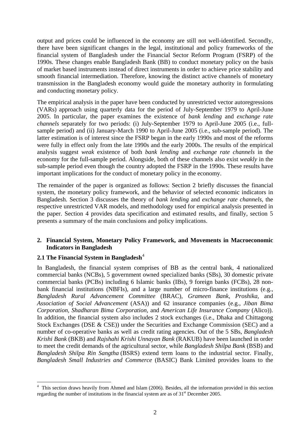output and prices could be influenced in the economy are still not well-identified. Secondly, there have been significant changes in the legal, institutional and policy frameworks of the financial system of Bangladesh under the Financial Sector Reform Program (FSRP) of the 1990s. These changes enable Bangladesh Bank (BB) to conduct monetary policy on the basis of market based instruments instead of direct instruments in order to achieve price stability and smooth financial intermediation. Therefore, knowing the distinct active channels of monetary transmission in the Bangladesh economy would guide the monetary authority in formulating and conducting monetary policy.

The empirical analysis in the paper have been conducted by unrestricted vector autoregressions (VARs) approach using quarterly data for the period of July-September 1979 to April-June 2005. In particular, the paper examines the existence of *bank lending* and *exchange rate channels* separately for two periods: (i) July-September 1979 to April-June 2005 (i.e., fullsample period) and (ii) January-March 1990 to April-June 2005 (i.e., sub-sample period). The latter estimation is of interest since the FSRP began in the early 1990s and most of the reforms were fully in effect only from the late 1990s and the early 2000s. The results of the empirical analysis suggest *weak* existence of both *bank lending* and *exchange rate channels* in the economy for the full-sample period. Alongside, both of these channels also exist *weakly* in the sub-sample period even though the country adopted the FSRP in the 1990s. These results have important implications for the conduct of monetary policy in the economy.

The remainder of the paper is organized as follows: Section 2 briefly discusses the financial system, the monetary policy framework, and the behavior of selected economic indicators in Bangladesh. Section 3 discusses the theory of *bank lending* and *exchange rate channels*, the respective unrestricted VAR models, and methodology used for empirical analysis presented in the paper. Section 4 provides data specification and estimated results, and finally, section 5 presents a summary of the main conclusions and policy implications.

### **2. Financial System, Monetary Policy Framework, and Movements in Macroeconomic Indicators in Bangladesh**

### **2.1 The Financial System in Bangladesh**<sup>[4](#page-4-0)</sup>

In Bangladesh, the financial system comprises of BB as the central bank, 4 nationalized commercial banks (NCBs), 5 government owned specialized banks (SBs), 30 domestic private commercial banks (PCBs) including 6 Islamic banks (IBs), 9 foreign banks (FCBs), 28 nonbank financial institutions (NBFIs), and a large number of micro-finance institutions (e.g., *Bangladesh Rural Advancement Committee* (BRAC), *Grameen Bank*, *Proshika*, and *Association of Social Advancement* (ASA)) and 62 insurance companies (e.g., *Jiban Bima Corporation*, *Shadharan Bima Corporation*, and *American Life Insurance Company* (Alico)). In addition, the financial system also includes 2 stock exchanges (i.e., Dhaka and Chittagong Stock Exchanges (DSE & CSE)) under the Securities and Exchange Commission (SEC) and a number of co-operative banks as well as credit rating agencies. Out of the 5 SBs, *Bangladesh Krishi Bank* (BKB) and *Rajshahi Krishi Unnayan Bank* (RAKUB) have been launched in order to meet the credit demands of the agricultural sector, while *Bangladesh Shilpa Bank* (BSB) and *Bangladesh Shilpa Rin Sangtha* (BSRS) extend term loans to the industrial sector. Finally, *Bangladesh Small Industries and Commerce* (BASIC) Bank Limited provides loans to the

<span id="page-4-0"></span> $\overline{a}$ <sup>4</sup> This section draws heavily from Ahmed and Islam (2006). Besides, all the information provided in this section regarding the number of institutions in the financial system are as of 31<sup>st</sup> December 2005.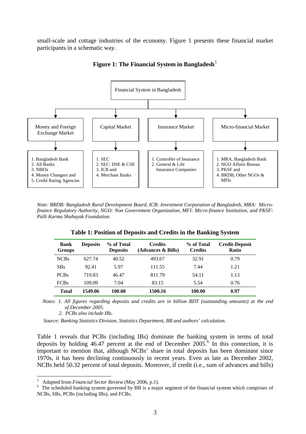small-scale and cottage industries of the economy. Figure 1 presents these financial market participants in a schematic way.



**Figure 1: The Financial System in Bangladesh**[5](#page-5-0)

*Note: BRDB: Bangladesh Rural Development Board, ICB: Investment Corporation of Bangladesh, MRA: Microfinance Regulatory Authority, NGO: Non Government Organization, MFI: Micro-finance Institution, and PKSF: Palli Karma Shahayak Foundation.* 

| <b>Bank</b><br><b>Groups</b> | <b>Deposits</b> | % of Total<br><b>Deposits</b> | <b>Credits</b><br>(Advances & Bills) | % of Total<br><b>Credits</b> | <b>Credit-Deposit</b><br><b>Ratio</b> |
|------------------------------|-----------------|-------------------------------|--------------------------------------|------------------------------|---------------------------------------|
| <b>NCBs</b>                  | 627.74          | 40.52                         | 493.67                               | 32.91                        | 0.79                                  |
| <b>SBs</b>                   | 92.41           | 5.97                          | 111.55                               | 7.44                         | 1.21                                  |
| <b>PCBs</b>                  | 719.83          | 46.47                         | 811.79                               | 54.11                        | 1.13                                  |
| <b>FCBs</b>                  | 109.09          | 7.04                          | 83.15                                | 5.54                         | 0.76                                  |
| <b>Total</b>                 | 1549.06         | 100.00                        | 1500.16                              | 100.00                       | 0.97                                  |

**Table 1: Position of Deposits and Credits in the Banking System** 

 *Notes: 1. All figures regarding deposits and credits are in billion BDT (outstanding amounts) at the end of December 2005.* 

 *2. PCBs also include IBs.* 

 $\overline{a}$ 

 *Source: Banking Statistics Division, Statistics Department, BB and authors' calculation.* 

Table 1 reveals that PCBs (including IBs) dominate the banking system in terms of total deposits by holding  $46.47$  $46.47$  $46.47$  percent at the end of December  $2005$ <sup>6</sup>. In this connection, it is important to mention that, although NCBs' share in total deposits has been dominant since 1970s, it has been declining continuously in recent years. Even as late as December 2002, NCBs held 50.32 percent of total deposits. Moreover, if credit (i.e., sum of advances and bills)

<sup>5</sup>

<span id="page-5-1"></span><span id="page-5-0"></span><sup>&</sup>lt;sup>5</sup> Adapted from *Financial Sector Review* (May 2006, p.1).<br><sup>6</sup> The scheduled banking system governed by BB is a major segment of the financial system which comprises of NCBs, SBs, PCBs (including IBs), and FCBs.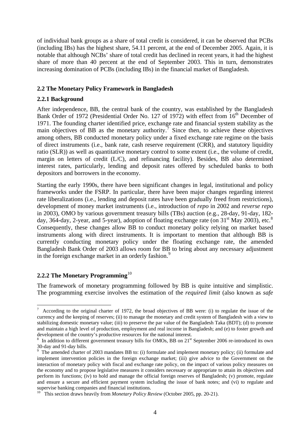of individual bank groups as a share of total credit is considered, it can be observed that PCBs (including IBs) has the highest share, 54.11 percent, at the end of December 2005. Again, it is notable that although NCBs' share of total credit has declined in recent years, it had the highest share of more than 40 percent at the end of September 2003. This in turn, demonstrates increasing domination of PCBs (including IBs) in the financial market of Bangladesh.

### **2.2 The Monetary Policy Framework in Bangladesh**

#### **2.2.1 Background**

After independence, BB, the central bank of the country, was established by the Bangladesh Bank Order of 1972 (Presidential Order No. 127 of 1972) with effect from 16<sup>th</sup> December of 1971. The founding charter identified price, exchange rate and financial system stability as the main objectives of BB as the monetary authority.<sup>[7](#page-6-0)</sup> Since then, to achieve these objectives among others, BB conducted monetary policy under a fixed exchange rate regime on the basis of direct instruments (i.e., bank rate, cash reserve requirement (CRR), and statutory liquidity ratio (SLR)) as well as quantitative monetary control to some extent (i.e., the volume of credit, margin on letters of credit (L/C), and refinancing facility). Besides, BB also determined interest rates, particularly, lending and deposit rates offered by scheduled banks to both depositors and borrowers in the economy.

Starting the early 1990s, there have been significant changes in legal, institutional and policy frameworks under the FSRP. In particular, there have been major changes regarding interest rate liberalizations (i.e., lending and deposit rates have been gradually freed from restrictions), development of money market instruments (i.e., introduction of *repo* in 2002 and *reverse repo* in 2003), OMO by various government treasury bills (TBs) auction (e.g., 28-day, 91-day, 182 day, 364-day, 2-year, and 5-year), adoption of floating exchange rate (on  $31<sup>st</sup>$  May 2003), etc.<sup>8</sup> Consequently, these changes allow BB to conduct monetary policy relying on market based instruments along with direct instruments. It is important to mention that although BB is currently conducting monetary policy under the floating exchange rate, the amended Bangladesh Bank Order of 2003 allows room for BB to bring about any necessary adjustment in the foreign exchange market in an orderly fashion.<sup>[9](#page-6-2)</sup>

#### **2.2.2 The Monetary Programming**[10](#page-6-3)

 $\overline{a}$ 

The framework of monetary programming followed by BB is quite intuitive and simplistic. The programming exercise involves the estimation of the *required limit* (also known as *safe* 

<span id="page-6-0"></span><sup>7</sup> According to the original charter of 1972, the broad objectives of BB were: (i) to regulate the issue of the currency and the keeping of reserves; (ii) to manage the monetary and credit system of Bangladesh with a view to stabilizing domestic monetary value; (iii) to preserve the par value of the Bangladesh Taka (BDT); (d) to promote and maintain a high level of production, employment and real income in Bangladesh; and (e) to foster growth and development of the country's productive resources for the national interest.

<span id="page-6-1"></span><sup>&</sup>lt;sup>8</sup> In addition to different government treasury bills for OMOs, BB on 21<sup>st</sup> September 2006 re-introduced its own 30-day and 91-day bills.

<span id="page-6-2"></span><sup>&</sup>lt;sup>9</sup> The amended charter of 2003 mandates BB to: (i) formulate and implement monetary policy; (ii) formulate and implement intervention policies in the foreign exchange market; (iii) give advice to the Government on the interaction of monetary policy with fiscal and exchange rate policy, on the impact of various policy measures on the economy and to propose legislative measures it considers necessary or appropriate to attain its objectives and perform its functions; (iv) to hold and manage the official foreign reserves of Bangladesh; (v) promote, regulate and ensure a secure and efficient payment system including the issue of bank notes; and (vi) to regulate and supervise banking companies and financial institutions.

<span id="page-6-3"></span><sup>&</sup>lt;sup>10</sup> This section draws heavily from *Monetary Policy Review* (October 2005, pp. 20-21).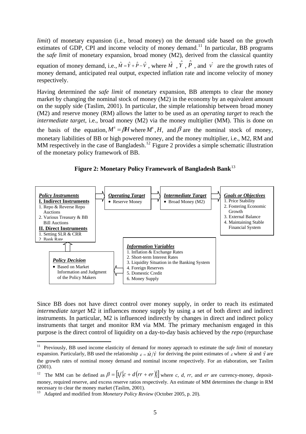*limit*) of monetary expansion (i.e., broad money) on the demand side based on the growth estimates of GDP, CPI and income velocity of money demand.<sup>[11](#page-7-0)</sup> In particular, BB programs the *safe limit* of monetary expansion, broad money (M2), derived from the classical quantity

equation of money demand, i.e.,  $\hat{M} = \hat{Y} + \hat{P} - \hat{V}$ , where  $\hat{M}$ ,  $\hat{Y}$ ,  $\hat{P}$ , and  $\hat{V}$  are the growth rates of money demand, anticipated real output, expected inflation rate and income velocity of money respectively.

Having determined the *safe limit* of monetary expansion, BB attempts to clear the money market by changing the nominal stock of money (M2) in the economy by an equivalent amount on the supply side (Taslim, 2001). In particular, the simple relationship between broad money (M2) and reserve money (RM) allows the latter to be used as an *operating target* to reach the *intermediate target*, i.e., broad money (M2) via the money multiplier (MM). This is done on the basis of the equation,  $M^s = \beta H$  where  $M^s$ ,  $H$ , and  $\beta$  are the nominal stock of money, monetary liabilities of BB or high powered money, and the money multiplier, i.e., M2, RM and MM respectively in the case of Bangladesh.<sup>[12](#page-7-1)</sup> Figure 2 provides a simple schematic illustration of the monetary policy framework of BB.



**Figure 2: Monetary Policy Framework of Bangladesh Bank**[13](#page-7-2)

Since BB does not have direct control over money supply, in order to reach its estimated *intermediate target* M2 it influences money supply by using a set of both direct and indirect instruments. In particular, M2 is influenced indirectly by changes in direct and indirect policy instruments that target and monitor RM via MM. The primary mechanism engaged in this purpose is the direct control of liquidity on a day-to-day basis achieved by the *repo* (repurchase

<span id="page-7-0"></span> $11\,$ 11 Previously, BB used income elasticity of demand for money approach to estimate the *safe limit* of monetary expansion. Particularly, BB used the relationship  $\varepsilon = \hat{M}/\hat{Y}$  for deriving the point estimates of  $\varepsilon$  where  $\hat{M}$  and  $\hat{Y}$  are the growth rates of nominal money demand and nominal income respectively. For an elaboration, see Taslim (2001).

<span id="page-7-1"></span><sup>&</sup>lt;sup>12</sup> The MM can be defined as  $\beta = [1/{c + d(r + er)}]$  where *c*, *d*, *rr*, and *er* are currency-money, depositmoney, required reserve, and excess reserve ratios respectively. An estimate of MM determines the change in RM necessary to clear the money market (Taslim, 2001).<br><sup>13</sup> Adapted and modified from *Monetary Policy Review* (October 2005, p. 20).

<span id="page-7-2"></span>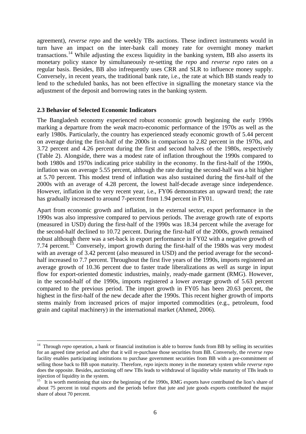agreement), *reverse repo* and the weekly TBs auctions. These indirect instruments would in turn have an impact on the inter-bank call money rate for overnight money market transactions.<sup>[14](#page-8-0)</sup> While adjusting the excess liquidity in the banking system, BB also asserts its monetary policy stance by simultaneously re-setting the *repo* and *reverse repo* rates on a regular basis. Besides, BB also infrequently uses CRR and SLR to influence money supply. Conversely, in recent years, the traditional bank rate, i.e., the rate at which BB stands ready to lend to the scheduled banks, has not been effective in signalling the monetary stance via the adjustment of the deposit and borrowing rates in the banking system.

#### **2.3 Behavior of Selected Economic Indicators**

 $\overline{a}$ 

The Bangladesh economy experienced robust economic growth beginning the early 1990s marking a departure from the *weak* macro-economic performance of the 1970s as well as the early 1980s. Particularly, the country has experienced steady economic growth of 5.44 percent on average during the first-half of the 2000s in comparison to 2.82 percent in the 1970s, and 3.72 percent and 4.26 percent during the first and second halves of the 1980s, respectively (Table 2). Alongside, there was a modest rate of inflation throughout the 1990s compared to both 1980s and 1970s indicating price stability in the economy. In the first-half of the 1990s, inflation was on average 5.55 percent, although the rate during the second-half was a bit higher at 5.70 percent. This modest trend of inflation was also sustained during the first-half of the 2000s with an average of 4.28 percent, the lowest half-decade average since independence. However, inflation in the very recent year, i.e., FY06 demonstrates an upward trend; the rate has gradually increased to around 7-percent from 1.94 percent in FY01.

Apart from economic growth and inflation, in the external sector, export performance in the 1990s was also impressive compared to pervious periods. The average growth rate of exports (measured in USD) during the first-half of the 1990s was 18.34 percent while the average for the second-half declined to 10.72 percent. During the first-half of the 2000s, growth remained robust although there was a set-back in export performance in FY02 with a negative growth of 7.74 percent.<sup>[15](#page-8-1)</sup> Conversely, import growth during the first-half of the 1980s was very modest with an average of 3.42 percent (also measured in USD) and the period average for the secondhalf increased to 7.7 percent. Throughout the first five years of the 1990s, imports registered an average growth of 10.36 percent due to faster trade liberalizations as well as surge in input flow for export-oriented domestic industries, mainly, ready-made garment (RMG). However, in the second-half of the 1990s, imports registered a lower average growth of 5.63 percent compared to the previous period. The import growth in FY05 has been 20.63 percent, the highest in the first-half of the new decade after the 1990s. This recent higher growth of imports stems mainly from increased prices of major imported commodities (e.g., petroleum, food grain and capital machinery) in the international market (Ahmed, 2006).

<span id="page-8-0"></span><sup>&</sup>lt;sup>14</sup> Through *repo* operation, a bank or financial institution is able to borrow funds from BB by selling its securities for an agreed time period and after that it will re-purchase those securities from BB. Conversely, the *reverse repo* facility enables participating institutions to purchase government securities from BB with a pre-commitment of selling those back to BB upon maturity. Therefore, *repo* injects money in the monetary system while *reverse repo* does the opposite. Besides, auctioning off new TBs leads to withdrawal of liquidity while maturity of TBs leads to injection of liquidity in the system.

<span id="page-8-1"></span>It is worth mentioning that since the beginning of the 1990s, RMG exports have contributed the lion's share of about 75 percent in total exports and the periods before that jute and jute goods exports contributed the major share of about 70 percent.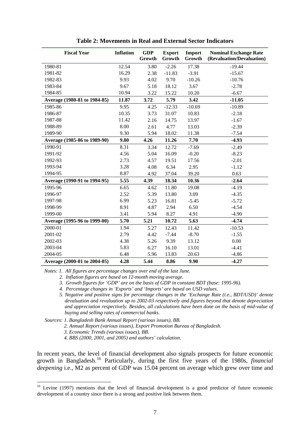| <b>Fiscal Year</b>           | <b>Inflation</b> | <b>GDP</b><br>Growth | <b>Export</b><br>Growth | Import<br>Growth | <b>Nominal Exchange Rate</b><br>(Revaluation/Devaluation) |
|------------------------------|------------------|----------------------|-------------------------|------------------|-----------------------------------------------------------|
| 1980-81                      | 12.54            | 3.80                 | $-2.26$                 | 17.38            | $-19.44$                                                  |
| 1981-82                      | 16.29            | 2.38                 | $-11.83$                | $-3.91$          | $-15.67$                                                  |
| 1982-83                      | 9.93             | 4.02                 | 9.70                    | $-10.26$         | $-10.76$                                                  |
| 1983-84                      | 9.67             | 5.18                 | 18.12                   | 3.67             | $-2.78$                                                   |
| 1984-85                      | 10.94            | 3.22                 | 15.22                   | 10.20            | $-6.67$                                                   |
| Average (1980-81 to 1984-85) | 11.87            | 3.72                 | 5.79                    | 3.42             | $-11.05$                                                  |
| 1985-86                      | 9.95             | 4.25                 | $-12.33$                | $-10.69$         | $-10.89$                                                  |
| 1986-87                      | 10.35            | 3.73                 | 31.07                   | 10.83            | $-2.18$                                                   |
| 1987-88                      | 11.42            | 2.16                 | 14.75                   | 13.97            | $-1.67$                                                   |
| 1988-89                      | 8.00             | 2.61                 | 4.77                    | 13.03            | $-2.39$                                                   |
| 1989-90                      | 9.30             | 5.94                 | 18.02                   | 11.38            | $-7.54$                                                   |
| Average (1985-86 to 1989-90) | 9.80             | 4.26                 | 11.26                   | 7.70             | $-4.93$                                                   |
| 1990-91                      | 8.31             | 3.34                 | 12.72                   | $-7.69$          | $-2.49$                                                   |
| 1991-92                      | 4.56             | 5.04                 | 16.09                   | $-0.20$          | $-8.23$                                                   |
| 1992-93                      | 2.73             | 4.57                 | 19.51                   | 17.56            | $-2.01$                                                   |
| 1993-94                      | 3.28             | 4.08                 | 6.34                    | 2.95             | $-1.12$                                                   |
| 1994-95                      | 8.87             | 4.92                 | 37.04                   | 39.20            | 0.63                                                      |
| Average (1990-91 to 1994-95) | 5.55             | 4.39                 | 18.34                   | 10.36            | $-2.64$                                                   |
| 1995-96                      | 6.65             | 4.62                 | 11.80                   | 19.08            | $-4.19$                                                   |
| 1996-97                      | 2.52             | 5.39                 | 13.80                   | 3.09             | $-4.35$                                                   |
| 1997-98                      | 6.99             | 5.23                 | 16.81                   | $-5.45$          | $-5.72$                                                   |
| 1998-99                      | 8.91             | 4.87                 | 2.94                    | 6.50             | $-4.54$                                                   |
| 1999-00                      | 3.41             | 5.94                 | 8.27                    | 4.91             | $-4.90$                                                   |
| Average (1995-96 to 1999-00) | 5.70             | 5.21                 | 10.72                   | 5.63             | $-4.74$                                                   |
| 2000-01                      | 1.94             | 5.27                 | 12.43                   | 11.42            | $-10.53$                                                  |
| 2001-02                      | 2.79             | 4.42                 | $-7.44$                 | $-8.70$          | $-1.55$                                                   |
| 2002-03                      | 4.38             | 5.26                 | 9.39                    | 13.12            | 0.00                                                      |
| 2003-04                      | 5.83             | 6.27                 | 16.10                   | 13.01            | $-4.41$                                                   |
| 2004-05                      | 6.48             | 5.96                 | 13.83                   | 20.63            | $-4.86$                                                   |
| Average (2000-01 to 2004-05) | 4.28             | 5.44                 | 8.86                    | 9.90             | $-4.27$                                                   |

**Table 2: Movements in Real and External Sector Indicators** 

*Notes: 1. All figures are percentage changes over end of the last June.* 

 *2. Inflation figures are based on 12-month moving average.* 

 *3. Growth figures for 'GDP' are on the basis of GDP in constant BDT (base: 1995-96).* 

 *4. Percentage changes in 'Exports' and 'Imports' are based on USD values.* 

 *5. Negative and positive signs for percentage changes in the 'Exchange Rate (i.e., BDT/USD)' denote devaluation and revaluation up to 2002-03 respectively and figures beyond that denote depreciation and appreciation respectively. Besides, all calculations have been done on the basis of mid-value of buying and selling rates of commercial banks.* 

 *Sources: 1. Bangladesh Bank Annual Report (various issues), BB.* 

 *2. Annual Report (various issues), Export Promotion Bureau of Bangladesh.* 

 *3. Economic Trends (various issues), BB.* 

 $\overline{a}$ 

 *4. BBS (2000, 2001, and 2005) and authors' calculation.* 

In recent years, the level of financial development also signals prospects for future economic growth in Bangladesh.[16](#page-9-0) Particularly, during the first five years of the 1980s, *financial deepening* i.e., M2 as percent of GDP was 15.04 percent on average which grew over time and

<span id="page-9-0"></span> $16$  Levine (1997) mentions that the level of financial development is a good predictor of future economic development of a country since there is a strong and positive link between them.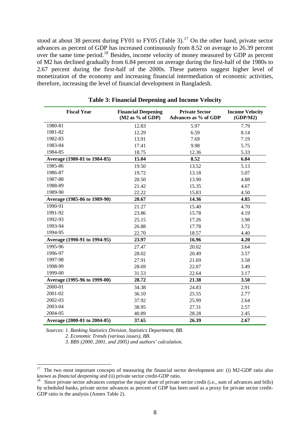stood at about 38 percent during FY01 to FY05 (Table 3).<sup>[17](#page-10-0)</sup> On the other hand, private sector advances as percent of GDP has increased continuously from 8.52 on average to 26.39 percent over the same time period.[18](#page-10-1) Besides, income velocity of money measured by GDP as percent of M2 has declined gradually from 6.84 percent on average during the first-half of the 1980s to 2.67 percent during the first-half of the 2000s. These patterns suggest higher level of monetization of the economy and increasing financial intermediation of economic activities, therefore, increasing the level of financial development in Bangladesh.

| <b>Fiscal Year</b>           | <b>Financial Deepening</b><br>$(M2$ as % of GDP) | <b>Private Sector</b><br>Advances as % of GDP | <b>Income Velocity</b><br>(GDP/M2) |
|------------------------------|--------------------------------------------------|-----------------------------------------------|------------------------------------|
| 1980-81                      | 12.83                                            | 5.97                                          | 7.79                               |
| 1981-82                      | 12.29                                            | 6.59                                          | 8.14                               |
| 1982-83                      | 13.91                                            | 7.69                                          | 7.19                               |
| 1983-84                      | 17.41                                            | 9.98                                          | 5.75                               |
| 1984-85                      | 18.75                                            | 12.36                                         | 5.33                               |
| Average (1980-81 to 1984-85) | 15.04                                            | 8.52                                          | 6.84                               |
| 1985-86                      | 19.50                                            | 13.52                                         | 5.13                               |
| 1986-87                      | 19.72                                            | 13.18                                         | 5.07                               |
| 1987-88                      | 20.50                                            | 13.90                                         | 4.88                               |
| 1988-89                      | 21.42                                            | 15.35                                         | 4.67                               |
| 1989-90                      | 22.22                                            | 15.83                                         | 4.50                               |
| Average (1985-86 to 1989-90) | 20.67                                            | 14.36                                         | 4.85                               |
| 1990-91                      | 21.27                                            | 15.40                                         | 4.70                               |
| 1991-92                      | 23.86                                            | 15.78                                         | 4.19                               |
| 1992-93                      | 25.15                                            | 17.26                                         | 3.98                               |
| 1993-94                      | 26.88                                            | 17.78                                         | 3.72                               |
| 1994-95                      | 22.70                                            | 18.57                                         | 4.40                               |
| Average (1990-91 to 1994-95) | 23.97                                            | 16.96                                         | 4.20                               |
| 1995-96                      | 27.47                                            | 20.02                                         | 3.64                               |
| 1996-97                      | 28.02                                            | 20.49                                         | 3.57                               |
| 1997-98                      | 27.91                                            | 21.69                                         | 3.58                               |
| 1998-99                      | 28.69                                            | 22.07                                         | 3.49                               |
| 1999-00                      | 31.53                                            | 22.64                                         | 3.17                               |
| Average (1995-96 to 1999-00) | 28.72                                            | 21.38                                         | 3.50                               |
| 2000-01                      | 34.38                                            | 24.83                                         | 2.91                               |
| 2001-02                      | 36.10                                            | 25.55                                         | 2.77                               |
| 2002-03                      | 37.92                                            | 25.99                                         | 2.64                               |
| 2003-04                      | 38.95                                            | 27.31                                         | 2.57                               |
| 2004-05                      | 40.89                                            | 28.28                                         | 2.45                               |
| Average (2000-01 to 2004-05) | 37.65                                            | 26.39                                         | 2.67                               |

**Table 3: Financial Deepening and Income Velocity** 

*Sources: 1. Banking Statistics Division, Statistics Department, BB.* 

 *2. Economic Trends (various issues), BB.* 

 *3. BBS (2000, 2001, and 2005) and authors' calculation.* 

<span id="page-10-0"></span><sup>17</sup> <sup>17</sup>The two most important concepts of measuring the financial sector development are: (i) M2-GDP ratio also known as *financial deepening* and (ii) private sector credit-GDP ratio.<br><sup>18</sup> Since private sector advances comprise the major share of private sector credit (i.e., sum of advances and bills)

<span id="page-10-1"></span>by scheduled banks, private sector advances as percent of GDP has been used as a proxy for private sector credit-GDP ratio in the analysis (Annex Table 2).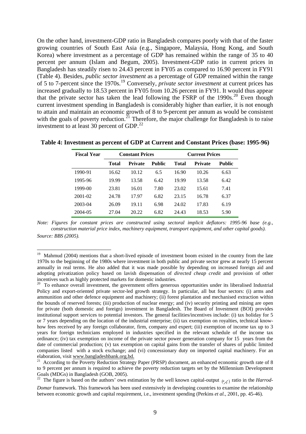On the other hand, investment-GDP ratio in Bangladesh compares poorly with that of the faster growing countries of South East Asia (e.g., Singapore, Malaysia, Hong Kong, and South Korea) where investment as a percentage of GDP has remained within the range of 35 to 40 percent per annum (Islam and Begum, 2005). Investment-GDP ratio in current prices in Bangladesh has steadily risen to 24.43 percent in FY05 as compared to 16.90 percent in FY91 (Table 4). Besides, *public sector investment* as a percentage of GDP remained within the range of 5 to 7-percent since the 1970s.[19](#page-11-0) Conversely, *private sector investment* at current prices has increased gradually to 18.53 percent in FY05 from 10.26 percent in FY91. It would thus appear that the private sector has taken the lead following the FSRP of the  $1990s$ <sup>[20](#page-11-1)</sup> Even though current investment spending in Bangladesh is considerably higher than earlier, it is not enough to attain and maintain an economic growth of 8 to 9-percent per annum as would be consistent with the goals of poverty reduction.<sup>[21](#page-11-2)</sup> Therefore, the major challenge for Bangladesh is to raise investment to at least 30 percent of GDP. $^{22}$  $^{22}$  $^{22}$ 

| <b>Fiscal Year</b> |       | <b>Constant Prices</b> |        | <b>Current Prices</b> |                |        |
|--------------------|-------|------------------------|--------|-----------------------|----------------|--------|
|                    | Total | <b>Private</b>         | Public | Total                 | <b>Private</b> | Public |
| 1990-91            | 16.62 | 10.12                  | 6.5    | 16.90                 | 10.26          | 6.63   |
| 1995-96            | 19.99 | 13.58                  | 6.42   | 19.99                 | 13.58          | 6.42   |
| 1999-00            | 23.81 | 16.01                  | 7.80   | 23.02                 | 15.61          | 7.41   |
| 2001-02            | 24.78 | 17.97                  | 6.82   | 23.15                 | 16.78          | 6.37   |
| 2003-04            | 26.09 | 19.11                  | 6.98   | 24.02                 | 17.83          | 6.19   |
| 2004-05            | 27.04 | 20.22                  | 6.82   | 24.43                 | 18.53          | 5.90   |

**Table 4: Investment as percent of GDP at Current and Constant Prices (base: 1995-96)** 

*Note: Figures for constant prices are constructed using sectoral implicit deflators: 1995-96 base (e.g., construction material price index, machinery equipment, transport equipment, and other capital goods). Source: BBS (2005).*

 $\overline{a}$ 

<span id="page-11-0"></span><sup>&</sup>lt;sup>19</sup> Mahmud (2004) mentions that a short-lived episode of investment boom existed in the country from the late 1970s to the beginning of the 1980s where investment in both public and private sector grew at nearly 15 percent annually in real terms. He also added that it was made possible by depending on increased foreign aid and adopting privatization policy based on lavish dispensation of *directed cheap credit* and provision of other incentives such as highly protected markets for domestic industries.

<span id="page-11-1"></span><sup>&</sup>lt;sup>20</sup> To enhance overall investment, the government offers generous opportunities under its liberalised Industrial Policy and export-oriented private sector-led growth strategy. In particular, all but four sectors: (i) arms and ammunition and other defence equipment and machinery; (ii) forest plantation and mechanised extraction within the bounds of reserved forests; (iii) production of nuclear energy; and (iv) security printing and mining are open for private (both domestic and foreign) investment in Bangladesh. The Board of Investment (BOI) provides institutional support services to potential investors. The general facilities/incentives include: (i) tax holiday for 5 or 7 years depending on the location of the industrial enterprise; (ii) tax exemption on royalties, technical knowhow fees received by any foreign collaborator, firm, company and expert; (iii) exemption of income tax up to 3 years for foreign technicians employed in industries specified in the relevant schedule of the income tax ordinance; (iv) tax exemption on income of the private sector power generation company for 15 years from the date of commercial production; (v) tax exemption on capital gains from the transfer of shares of public limited companies listed with a stock exchange; and (vi) concessionary duty on imported capital machinery. For an elaboration, visit www.bangladeshbank.org.bd. <sup>21</sup> According to the Poverty Reduction Strategy Paper (PRSP) document, an enhanced economic growth rate of 8

<span id="page-11-2"></span>to 9 percent per annum is required to achieve the poverty reduction targets set by the Millennium Development Goals (MDGs) in Bangladesh (GOB, 2005).

<span id="page-11-3"></span>The figure is based on the authors' own estimation by the well known capital-output  $(K_X)$  ratio in the *Harrod*-*Domar* framework. This framework has been used extensively in developing countries to examine the relationship between economic growth and capital requirement, i.e., investment spending (Perkins *et al.*, 2001, pp. 45-46).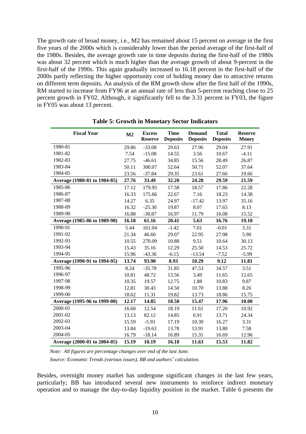The growth rate of broad money, i.e., M2 has remained about 15 percent on average in the first five years of the 2000s which is considerably lower than the period average of the first-half of the 1980s. Besides, the average growth rate in time deposits during the first-half of the 1980s was about 32 percent which is much higher than the average growth of about 9-percent in the first-half of the 1990s. This again gradually increased to 16.18 percent in the first-half of the 2000s partly reflecting the higher opportunity cost of holding money due to attractive returns on different term deposits. An analysis of the RM growth show after the first half of the 1990s, RM started to increase from FY96 at an annual rate of less than 5-percent reaching close to 25 percent growth in FY02. Although, it significantly fell to the 3.31 percent in FY03, the figure in FY05 was about 13 percent.

| <b>Fiscal Year</b>           | M <sub>2</sub> | <b>Excess</b><br><b>Reserve</b> | <b>Time</b><br><b>Deposits</b> | <b>Demand</b><br><b>Deposits</b> | <b>Total</b><br><b>Deposits</b> | <b>Reserve</b><br><b>Money</b> |
|------------------------------|----------------|---------------------------------|--------------------------------|----------------------------------|---------------------------------|--------------------------------|
| 1980-81                      | 29.86          | $-33.08$                        | 29.63                          | 27.96                            | 29.04                           | 27.91                          |
| 1981-82                      | 7.54           | $-15.08$                        | 14.55                          | 3.56                             | 10.67                           | $-4.11$                        |
| 1982-83                      | 27.75          | $-46.61$                        | 34.85                          | 15.56                            | 28.49                           | 26.87                          |
| 1983-84                      | 50.11          | 300.07                          | 52.64                          | 50.71                            | 52.07                           | 37.64                          |
| 1984-85                      | 23.56          | $-37.84$                        | 29.35                          | 23.61                            | 27.66                           | 19.66                          |
| Average (1980-81 to 1984-85) | 27.76          | 33.49                           | 32.20                          | 24.28                            | 29.59                           | 21.59                          |
| 1985-86                      | 17.12          | 179.95                          | 17.58                          | 18.57                            | 17.86                           | 22.28                          |
| 1986-87                      | 16.33          | 175.66                          | 22.67                          | 7.16                             | 18.23                           | 14.38                          |
| 1987-88                      | 14.27          | 6.35                            | 24.97                          | $-17.42$                         | 13.97                           | 35.16                          |
| 1988-89                      | 16.32          | $-25.30$                        | 19.87                          | 8.07                             | 17.65                           | 8.13                           |
| 1989-90                      | 16.88          | $-30.87$                        | 16.97                          | 11.79                            | 16.08                           | 15.52                          |
| Average (1985-86 to 1989-90) | 16.18          | 61.16                           | 20.41                          | 5.63                             | 16.76                           | 19.10                          |
| 1990-91                      | 5.44           | 161.04                          | $-1.42$                        | 7.01                             | $-0.01$                         | 3.31                           |
| 1991-92                      | 21.34          | 46.60                           | 29.07                          | 22.95                            | 27.98                           | 5.90                           |
| 1992-93                      | 10.55          | 270.09                          | 10.88                          | 9.51                             | 10.64                           | 30.13                          |
| 1993-94                      | 15.43          | 35.16                           | 12.29                          | 25.50                            | 14.53                           | 25.72                          |
| 1994-95                      | 15.96          | $-43.36$                        | $-6.15$                        | $-13.54$                         | $-7.52$                         | $-5.99$                        |
| Average (1990-91 to 1994-95) | 13.74          | 93.90                           | 8.93                           | 10.29                            | 9.12                            | 11.81                          |
| 1995-96                      | 8.24           | $-35.78$                        | 31.85                          | 47.53                            | 34.57                           | 3.51                           |
| 1996-97                      | 10.81          | 48.72                           | 13.56                          | 3.49                             | 11.65                           | 12.65                          |
| 1997-98                      | 10.35          | 19.57                           | 12.75                          | 1.88                             | 10.83                           | 9.87                           |
| 1998-99                      | 12.81          | 30.43                           | 14.50                          | 10.70                            | 13.88                           | 8.26                           |
| 1999-00                      | 18.62          | 11.31                           | 19.82                          | 13.73                            | 18.86                           | 15.75                          |
| Average (1995-96 to 1999-00) | 12.17          | 14.85                           | 18.50                          | 15.47                            | 17.96                           | 10.00                          |
| 2000-01                      | 16.60          | 12.54                           | 18.19                          | 11.61                            | 17.20                           | 10.92                          |
| 2001-02                      | 13.13          | 82.12                           | 14.85                          | 6.91                             | 13.71                           | 24.34                          |
| 2002-03                      | 15.59          | $-5.93$                         | 17.19                          | 10.39                            | 16.27                           | 3.31                           |
| 2003-04                      | 13.84          | $-19.63$                        | 13.78                          | 13.91                            | 13.80                           | 7.58                           |
| 2004-05                      | 16.79          | $-18.14$                        | 16.89                          | 15.31                            | 16.69                           | 12.96                          |
| Average (2000-01 to 2004-05) | 15.19          | 10.19                           | 16.18                          | 11.63                            | 15.53                           | 11.82                          |

**Table 5: Growth in Monetary Sector Indicators** 

*Note: All figures are percentage changes over end of the last June.* 

 *Source: Economic Trends (various issues), BB and authors' calculation.* 

Besides, overnight money market has undergone significant changes in the last few years, particularly; BB has introduced several new instruments to reinforce indirect monetary operation and to manage the day-to-day liquidity position in the market. Table 6 presents the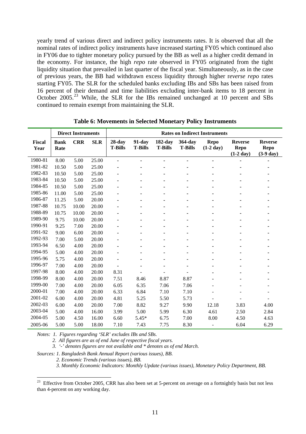yearly trend of various direct and indirect policy instruments rates. It is observed that all the nominal rates of indirect policy instruments have increased starting FY05 which continued also in FY06 due to tighter monetary policy pursued by the BB as well as a higher credit demand in the economy. For instance, the high *repo* rate observed in FY05 originated from the tight liquidity situation that prevailed in last quarter of the fiscal year. Simultaneously, as in the case of previous years, the BB had withdrawn excess liquidity through higher r*everse repo* rates starting FY05. The SLR for the scheduled banks excluding IBs and SBs has been raised from 16 percent of their demand and time liabilities excluding inter-bank items to 18 percent in October 2005.<sup>[23](#page-13-0)</sup> While, the SLR for the IBs remained unchanged at 10 percent and SBs continued to remain exempt from maintaining the SLR.

|                |                     | <b>Direct Instruments</b> |            | <b>Rates on Indirect Instruments</b> |                          |                           |                           |                                    |                                                      |                                               |
|----------------|---------------------|---------------------------|------------|--------------------------------------|--------------------------|---------------------------|---------------------------|------------------------------------|------------------------------------------------------|-----------------------------------------------|
| Fiscal<br>Year | <b>Bank</b><br>Rate | <b>CRR</b>                | <b>SLR</b> | $28$ -day<br><b>T-Bills</b>          | 91-day<br><b>T-Bills</b> | 182-day<br><b>T-Bills</b> | 364-day<br><b>T-Bills</b> | <b>Repo</b><br>$(1-2 \text{ day})$ | <b>Reverse</b><br><b>Repo</b><br>$(1-2 \text{ day})$ | <b>Reverse</b><br><b>Repo</b><br>$(3-9)$ day) |
| 1980-81        | 8.00                | 5.00                      | 25.00      | ۰                                    | ٠                        |                           | $\blacksquare$            |                                    |                                                      |                                               |
| 1981-82        | 10.50               | 5.00                      | 25.00      |                                      |                          |                           |                           |                                    |                                                      |                                               |
| 1982-83        | 10.50               | 5.00                      | 25.00      |                                      |                          |                           |                           |                                    |                                                      |                                               |
| 1983-84        | 10.50               | 5.00                      | 25.00      |                                      |                          |                           |                           |                                    |                                                      |                                               |
| 1984-85        | 10.50               | 5.00                      | 25.00      |                                      |                          |                           |                           |                                    |                                                      |                                               |
| 1985-86        | 11.00               | 5.00                      | 25.00      |                                      |                          |                           |                           |                                    |                                                      |                                               |
| 1986-87        | 11.25               | 5.00                      | 20.00      |                                      |                          |                           |                           |                                    |                                                      |                                               |
| 1987-88        | 10.75               | 10.00                     | 20.00      |                                      |                          |                           |                           |                                    |                                                      |                                               |
| 1988-89        | 10.75               | 10.00                     | 20.00      |                                      |                          |                           |                           |                                    |                                                      |                                               |
| 1989-90        | 9.75                | 10.00                     | 20.00      |                                      |                          |                           |                           |                                    |                                                      |                                               |
| 1990-91        | 9.25                | 7.00                      | 20.00      |                                      |                          |                           |                           |                                    |                                                      |                                               |
| 1991-92        | 9.00                | 6.00                      | 20.00      |                                      |                          |                           |                           |                                    |                                                      |                                               |
| 1992-93        | 7.00                | 5.00                      | 20.00      |                                      |                          |                           |                           |                                    |                                                      |                                               |
| 1993-94        | 6.50                | 4.00                      | 20.00      |                                      |                          |                           |                           |                                    |                                                      |                                               |
| 1994-95        | 5.00                | 4.00                      | 20.00      |                                      |                          |                           |                           |                                    |                                                      |                                               |
| 1995-96        | 5.75                | 4.00                      | 20.00      |                                      |                          |                           |                           |                                    |                                                      |                                               |
| 1996-97        | 7.00                | 4.00                      | 20.00      |                                      |                          |                           |                           |                                    |                                                      |                                               |
| 1997-98        | 8.00                | 4.00                      | 20.00      | 8.31                                 |                          |                           |                           |                                    |                                                      |                                               |
| 1998-99        | 8.00                | 4.00                      | 20.00      | 7.51                                 | 8.46                     | 8.87                      | 8.87                      |                                    |                                                      |                                               |
| 1999-00        | 7.00                | 4.00                      | 20.00      | 6.05                                 | 6.35                     | 7.06                      | 7.06                      |                                    |                                                      |                                               |
| 2000-01        | 7.00                | 4.00                      | 20.00      | 6.33                                 | 6.84                     | 7.10                      | 7.10                      |                                    |                                                      |                                               |
| 2001-02        | 6.00                | 4.00                      | 20.00      | 4.81                                 | 5.25                     | 5.50                      | 5.73                      |                                    |                                                      |                                               |
| 2002-03        | 6.00                | 4.00                      | 20.00      | 7.00                                 | 8.82                     | 9.27                      | 9.90                      | 12.18                              | 3.83                                                 | 4.00                                          |
| 2003-04        | 5.00                | 4.00                      | 16.00      | 3.99                                 | 5.00                     | 5.99                      | 6.30                      | 4.61                               | 2.50                                                 | 2.84                                          |
| 2004-05        | 5.00                | 4.50                      | 16.00      | 6.60                                 | 5.45*                    | 6.75                      | 7.00                      | 8.00                               | 4.50                                                 | 4.63                                          |
| 2005-06        | 5.00                | 5.00                      | 18.00      | 7.10                                 | 7.43                     | 7.75                      | 8.30                      | $\overline{a}$                     | 6.04                                                 | 6.29                                          |

**Table 6: Movements in Selected Monetary Policy Instruments** 

*Notes: 1. Figures regarding 'SLR' excludes IBs and SBs.* 

 *2. All figures are as of end June of respective fiscal years.* 

 *3. '-' denotes figures are not available and \* denotes as of end March.* 

*Sources: 1. Bangladesh Bank Annual Report (various issues), BB.* 

 *2. Economic Trends (various issues), BB.* 

 $\overline{a}$ 

 *3. Monthly Economic Indicators: Monthly Update (various issues), Monetary Policy Department, BB.*

<span id="page-13-0"></span><sup>&</sup>lt;sup>23</sup> Effective from October 2005, CRR has also been set at 5-percent on average on a fortnightly basis but not less than 4-percent on any working day.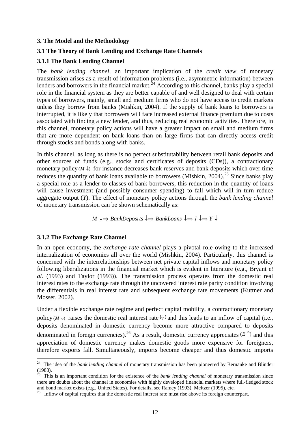#### **3. The Model and the Methodology**

#### **3.1 The Theory of Bank Lending and Exchange Rate Channels**

#### **3.1.1 The Bank Lending Channel**

The *bank lending channel*, an important implication of the *credit view* of monetary transmission arises as a result of information problems (i.e., asymmetric information) between lenders and borrowers in the financial market.<sup> $\frac{1}{2}$ 4</sup> According to this channel, banks play a special role in the financial system as they are better capable of and well designed to deal with certain types of borrowers, mainly, small and medium firms who do not have access to credit markets unless they borrow from banks (Mishkin, 2004). If the supply of bank loans to borrowers is interrupted, it is likely that borrowers will face increased external finance premium due to costs associated with finding a new lender, and thus, reducing real economic activities. Therefore, in this channel, monetary policy actions will have a greater impact on small and medium firms that are more dependent on bank loans than on large firms that can directly access credit through stocks and bonds along with banks.

In this channel, as long as there is no perfect substitutability between retail bank deposits and other sources of funds (e.g., stocks and certificates of deposits (CDs)), a contractionary monetary policy  $(M \downarrow)$  for instance decreases bank reserves and bank deposits which over time reduces the quantity of bank loans available to borrowers (Mishkin, 2004).<sup>[25](#page-14-1)</sup> Since banks play a special role as a lender to classes of bank borrowers, this reduction in the quantity of loans will cause investment (and possibly consumer spending) to fall which will in turn reduce aggregate output (*Y*). The effect of monetary policy actions through the *bank lending channel*  of monetary transmission can be shown schematically as:

*M*  $\downarrow$   $\Rightarrow$  *BankDeposits*  $\downarrow$   $\Rightarrow$  *BankLoans*  $\downarrow$   $\Rightarrow$  *I*  $\downarrow$   $\Rightarrow$  *Y*  $\downarrow$ 

#### **3.1.2 The Exchange Rate Channel**

 $\overline{a}$ 

In an open economy, the *exchange rate channel* plays a pivotal role owing to the increased internalization of economies all over the world (Mishkin, 2004). Particularly, this channel is concerned with the interrelationships between net private capital inflows and monetary policy following liberalizations in the financial market which is evident in literature (e.g., Bryant *et al.* (1993) and Taylor (1993)). The transmission process operates from the domestic real interest rates to the exchange rate through the uncovered interest rate parity condition involving the differentials in real interest rate and subsequent exchange rate movements (Kuttner and Mosser, 2002).

Under a flexible exchange rate regime and perfect capital mobility, a contractionary monetary policy ( $M \downarrow$ ) raises the domestic real interest rate  $(i_r)$  and this leads to an inflow of capital (i.e., deposits denominated in domestic currency become more attractive compared to deposits denominated in foreign currencies).<sup>[26](#page-14-2)</sup> As a result, domestic currency appreciates  $(E \uparrow)$  and this appreciation of domestic currency makes domestic goods more expensive for foreigners, therefore exports fall. Simultaneously, imports become cheaper and thus domestic imports

<span id="page-14-0"></span><sup>&</sup>lt;sup>24</sup> The idea of the *bank lending channel* of monetary transmission has been pioneered by Bernanke and Blinder (1988).

<span id="page-14-1"></span><sup>&</sup>lt;sup>25</sup> This is an important condition for the existence of the *bank lending channel* of monetary transmission since there are doubts about the channel in economies with highly developed financial markets where full-fledged stock and bond market exists (e.g., United States). For details, see Ramey (1993), Meltzer (1995), etc.

<span id="page-14-2"></span><sup>&</sup>lt;sup>26</sup> Inflow of capital requires that the domestic real interest rate must rise above its foreign counterpart.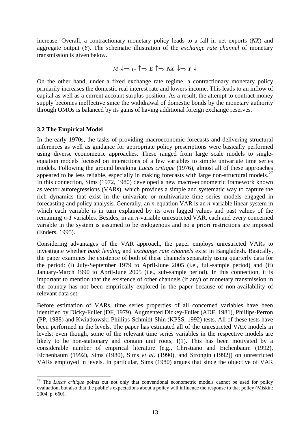increase. Overall, a contractionary monetary policy leads to a fall in net exports (*NX*) and aggregate output (*Y*). The schematic illustration of the *exchange rate channel* of monetary transmission is given below.

$$
M \downarrow \Rightarrow i_r \uparrow \Rightarrow E \uparrow \Rightarrow N X \downarrow \Rightarrow Y \downarrow
$$

On the other hand, under a fixed exchange rate regime, a contractionary monetary policy primarily increases the domestic real interest rate and lowers income. This leads to an inflow of capital as well as a current account surplus position. As a result, the attempt to contract money supply becomes ineffective since the withdrawal of domestic bonds by the monetary authority through OMOs is balanced by its gains of having additional foreign exchange reserves.

#### **3.2 The Empirical Model**

 $\overline{a}$ 

In the early 1970s, the tasks of providing macroeconomic forecasts and delivering structural inferences as well as guidance for appropriate policy prescriptions were basically performed using diverse econometric approaches. These ranged from large scale models to singleequation models focused on interactions of a few variables to simple univariate time series models. Following the ground breaking *Lucas critique* (1976), almost all of these approaches appeared to be less reliable, especially in making forecasts with large non-structural models.<sup>[27](#page-15-0)</sup> In this connection, Sims (1972, 1980) developed a new macro-econometric framework known as vector autoregressions (VARs), which provides a simple and systematic way to capture the rich dynamics that exist in the univariate or multivariate time series models engaged in forecasting and policy analysis. Generally, an *n*-equation VAR is an *n*-variable linear system in which each variable is in turn explained by its own lagged values and past values of the remaining *n-1* variables. Besides, in an *n*-variable unrestricted VAR, each and every concerned variable in the system is assumed to be endogenous and no a priori restrictions are imposed (Enders, 1995).

Considering advantages of the VAR approach, the paper employs unrestricted VARs to investigate whether *bank lending* and *exchange rate channels* exist in Bangladesh. Basically, the paper examines the existence of both of these channels separately using quarterly data for the period: (i) July-September 1979 to April-June 2005 (i.e., full-sample period) and (ii) January-March 1990 to April-June 2005 (i.e., sub-sample period). In this connection, it is important to mention that the existence of other channels (if any) of monetary transmission in the country has not been empirically explored in the paper because of non-availability of relevant data set.

Before estimation of VARs, time series properties of all concerned variables have been identified by Dicky-Fuller (DF, 1979), Augmented Dickey-Fuller (ADF, 1981), Phillips-Perron (PP, 1988) and Kwiatkowski-Phillips-Schmidt-Shin (KPSS, 1992) tests. All of these tests have been performed in the levels. The paper has estimated all of the unrestricted VAR models in levels; even though, some of the relevant time series variables in the respective models are likely to be non-stationary and contain unit roots, I(1). This has been motivated by a considerable number of empirical literature (e.g., Christiano and Eichenbaum (1992), Eichenbaum (1992), Sims (1980), Sims *et al*. (1990), and Strongin (1992)) on unrestricted VARs employed in levels. In particular, Sims (1980) argues that since the objective of VAR

<span id="page-15-0"></span><sup>&</sup>lt;sup>27</sup> The *Lucas critique* points out not only that conventional econometric models cannot be used for policy evaluation, but also that the public's expectations about a policy will influence the response to that policy (Miskin: 2004, p. 660).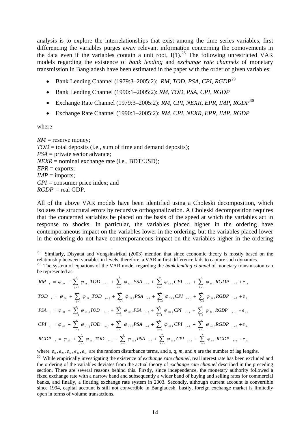analysis is to explore the interrelationships that exist among the time series variables, first differencing the variables purges away relevant information concerning the comovements in the data even if the variables contain a unit root,  $I(1)$ .<sup>[28](#page-16-0)</sup> The following unrestricted VAR models regarding the existence of *bank lending* and *exchange rate channels* of monetary transmission in Bangladesh have been estimated in the paper with the order of given variables:

- Bank Lending Channel (1979:3–2005:2): *RM*, *TOD*, *PSA*, *CPI*, *RGDP*[29](#page-16-1)
- Bank Lending Channel (1990:1–2005:2): *RM*, *TOD*, *PSA*, *CPI*, *RGDP*
- Exchange Rate Channel (1979:3–2005:2): *RM*, *CPI*, *NEXR*, *EPR*, *IMP*, *RGDP*[30](#page-16-2)
- Exchange Rate Channel (1990:1–2005:2): *RM*, *CPI*, *NEXR*, *EPR*, *IMP*, *RGDP*

where

 $RM$  = reserve money: *TOD* = total deposits (i.e., sum of time and demand deposits); *PSA* = private sector advance;  $NEXR =$  nominal exchange rate (i.e., BDT/USD); *EPR* **=** exports; *IMP* = imports; *CPI* **=** consumer price index; and *RGDP =* real GDP.

All of the above VAR models have been identified using a Choleski decomposition, which isolates the structural errors by recursive orthogonalization. A Choleski decomposition requires that the concerned variables be placed on the basis of the speed at which the variables act in response to shocks. In particular, the variables placed higher in the ordering have contemporaneous impact on the variables lower in the ordering, but the variables placed lower in the ordering do not have contemporaneous impact on the variables higher in the ordering

$$
RM_{t} = \varphi_{10} + \sum_{j=1}^{s} \varphi_{11,j}TOD_{t-j} + \sum_{i=1}^{q} \varphi_{12,i}PSA_{t-i} + \sum_{k=1}^{m} \varphi_{13,k}CPI_{t-k} + \sum_{l=1}^{n} \varphi_{14,l}RGDP_{t-l} + e_{1t}
$$
  
\n $TOD_{t} = \varphi_{20} + \sum_{j=1}^{s} \varphi_{21,j}TOD_{t-j} + \sum_{i=1}^{q} \varphi_{22,i}PSA_{t-i} + \sum_{k=1}^{m} \varphi_{23,k}CPI_{t-k} + \sum_{l=1}^{n} \varphi_{24,l}RGDP_{t-l} + e_{2t}$   
\n $PSA_{t} = \varphi_{30} + \sum_{j=1}^{s} \varphi_{31,j}TOD_{t-j} + \sum_{i=1}^{q} \varphi_{32,i}PSA_{t-i} + \sum_{k=1}^{m} \varphi_{33,k}CPI_{t-k} + \sum_{l=1}^{n} \varphi_{34,l}RGDP_{t-l} + e_{3t}$   
\n $CPI_{t} = \varphi_{40} + \sum_{j=1}^{s} \varphi_{41,j}TOD_{t-j} + \sum_{i=1}^{q} \varphi_{42,i}PSA_{t-i} + \sum_{k=1}^{m} \varphi_{43,k}CPI_{t-k} + \sum_{l=1}^{n} \varphi_{44,l}RGDP_{t-l} + e_{4t}$   
\n $RGDP_{t} = \varphi_{50} + \sum_{j=1}^{s} \varphi_{51,j}TOD_{t-j} + \sum_{i=1}^{q} \varphi_{52,i}PSA_{t-i} + \sum_{k=1}^{m} \varphi_{53,k}CPI_{t-k} + \sum_{l=1}^{n} \varphi_{54,l}RGDP_{t-l} + e_{5t}$ 

where  $e_1, e_2, e_3, e_4, e_5$  are the random disturbance terms, and *s*, *q*, *m*, and *n* are the number of lag lengths.

<span id="page-16-0"></span> $28\,$ Similarly, Disyatat and Vongsinsirikul (2003) mention that since economic theory is mostly based on the relationship between variables in levels, therefore, a VAR in first difference fails to capture such dynamics.

<span id="page-16-1"></span><sup>&</sup>lt;sup>29</sup> The system of equations of the VAR model regarding the *bank lending channel* of monetary transmission can be represented as

<span id="page-16-2"></span><sup>&</sup>lt;sup>30</sup> While empirically investigating the existence of *exchange rate channel*, real interest rate has been excluded and the ordering of the variables deviates from the actual theory of *exchange rate channel* described in the preceding section. There are several reasons behind this. Firstly, since independence, the monetary authority followed a fixed exchange rate with a narrow band and subsequently a wider band of buying and selling rates for commercial banks, and finally, a floating exchange rate system in 2003. Secondly, although current account is convertible since 1994, capital account is still not convertible in Bangladesh. Lastly, foreign exchange market is limitedly open in terms of volume transactions.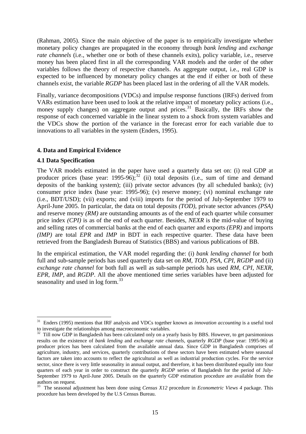(Rahman, 2005). Since the main objective of the paper is to empirically investigate whether monetary policy changes are propagated in the economy through *bank lending* and *exchange rate channels* (i.e., whether one or both of these channels exits), policy variable, i.e., reserve money has been placed first in all the corresponding VAR models and the order of the other variables follows the theory of respective channels. As aggregate output, i.e., real GDP is expected to be influenced by monetary policy changes at the end if either or both of these channels exist, the variable *RGDP* has been placed last in the ordering of all the VAR models.

Finally, variance decompositions (VDCs) and impulse response functions (IRFs) derived from VARs estimation have been used to look at the relative impact of monetary policy actions (i.e., money supply changes) on aggregate output and prices.<sup>[31](#page-17-0)</sup> Basically, the IRFs show the response of each concerned variable in the linear system to a shock from system variables and the VDCs show the portion of the variance in the forecast error for each variable due to innovations to all variables in the system (Enders, 1995).

#### **4. Data and Empirical Evidence**

#### **4.1 Data Specification**

 $\overline{a}$ 

The VAR models estimated in the paper have used a quarterly data set on: (i) real GDP at producer prices (base year:  $1995-96$ );<sup>[32](#page-17-1)</sup> (ii) total deposits (i.e., sum of time and demand deposits of the banking system); (iii) private sector advances (by all scheduled banks); (iv) consumer price index (base year: 1995-96); (v) reserve money; (vi) nominal exchange rate (i.e., BDT/USD); (vii) exports; and (viii) imports for the period of July-September 1979 to April-June 2005. In particular, the data on total deposits *(TOD)*, private sector advances *(PSA)* and reserve money *(RM)* are outstanding amounts as of the end of each quarter while consumer price index *(CPI)* is as of the end of each quarter. Besides, *NEXR* is the mid-value of buying and selling rates of commercial banks at the end of each quarter and exports *(EPR)* and imports *(IMP)* are total *EPR* and *IMP* in BDT in each respective quarter. These data have been retrieved from the Bangladesh Bureau of Statistics (BBS) and various publications of BB.

In the empirical estimation, the VAR model regarding the: (i) *bank lending channel* for both full and sub-sample periods has used quarterly data set on *RM*, *TOD*, *PSA*, *CPI*, *RGDP* and (ii) *exchange rate channel* for both full as well as sub-sample periods has used *RM*, *CPI*, *NEXR*, *EPR*, *IMP*, and *RGDP*. All the above mentioned time series variables have been adjusted for seasonality and used in log form.<sup>[33](#page-17-2)</sup>

<span id="page-17-0"></span><sup>31</sup> Enders (1995) mentions that IRF analysis and VDCs together known as *innovation accounting* is a useful tool to investigate the relationships among macroeconomic variables.

<span id="page-17-1"></span> $32$  Till now GDP in Bangladesh has been calculated only on a yearly basis by BBS. However, to get parsimonious results on the existence of *bank lending* and *exchange rate channels*, quarterly *RGDP* (base year: 1995-96) at producer prices has been calculated from the available annual data. Since GDP in Bangladesh comprises of agriculture, industry, and services, quarterly contributions of these sectors have been estimated where seasonal factors are taken into accounts to reflect the agricultural as well as industrial production cycles. For the service sector, since there is very little seasonality in annual output, and therefore, it has been distributed equally into four quarters of each year in order to construct the quarterly *RGDP* series of Bangladesh for the period of July-September 1979 to April-June 2005. Details on the quarterly GDP estimation procedure are available from the authors on request.

<span id="page-17-2"></span><sup>&</sup>lt;sup>33</sup> The seasonal adjustment has been done using *Census X12* procedure in *Econometric Views 4* package. This procedure has been developed by the U.S Census Bureau.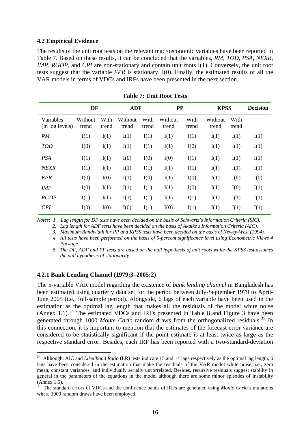#### **4.2 Empirical Evidence**

The results of the unit root tests on the relevant macroeconomic variables have been reported in Table 7. Based on these results, it can be concluded that the variables, *RM*, *TOD*, *PSA*, *NEXR*, *IMP*, *RGDP*, and *CPI* are non-stationary and contain unit roots I(1). Conversely, the unit root tests suggest that the variable *EPR* is stationary, I(0). Finally, the estimated results of all the VAR models in terms of VDCs and IRFs have been presented in the next section.

|                              | DF               |               | <b>ADF</b>       |               | <b>PP</b>        |               | <b>KPSS</b>      |               | <b>Decision</b> |
|------------------------------|------------------|---------------|------------------|---------------|------------------|---------------|------------------|---------------|-----------------|
| Variables<br>(in log levels) | Without<br>trend | With<br>trend | Without<br>trend | With<br>trend | Without<br>trend | With<br>trend | Without<br>trend | With<br>trend |                 |
| RM                           | I(1)             | I(1)          | I(1)             | I(1)          | I(1)             | I(1)          | I(1)             | I(1)          | I(1)            |
| <b>TOD</b>                   | I(0)             | I(1)          | I(1)             | I(1)          | I(1)             | I(0)          | I(1)             | I(1)          | I(1)            |
| <b>PSA</b>                   | I(1)             | I(1)          | I(0)             | I(0)          | I(0)             | I(1)          | I(1)             | I(1)          | I(1)            |
| <b>NEXR</b>                  | I(1)             | I(1)          | I(1)             | I(1)          | I(1)             | I(1)          | I(1)             | I(1)          | I(1)            |
| <b>EPR</b>                   | I(0)             | I(0)          | I(1)             | I(0)          | I(1)             | I(0)          | I(1)             | I(0)          | I(0)            |
| <b>IMP</b>                   | I(0)             | I(1)          | I(1)             | I(1)          | I(1)             | I(0)          | I(1)             | I(0)          | I(1)            |
| <b>RGDP</b>                  | I(1)             | I(1)          | I(1)             | I(1)          | I(1)             | I(1)          | I(1)             | I(1)          | I(1)            |
| CPI                          | I(0)             | I(0)          | I(0)             | I(1)          | I(0)             | I(1)          | I(1)             | I(1)          | I(1)            |

**Table 7: Unit Root Tests** 

*Notes: 1. Lag length for DF tests have been decided on the basis of Schwartz's Information Criteria (SIC).* 

 *2. Lag length for ADF tests have been decided on the basis of Akaike's Information Criteria (AIC).* 

 *3. Maximum Bandwidth for PP and KPSS tests have been decided on the basis of Newey-West (1994).* 

 *4. All tests have been performed on the basis of 5-percent significance level using Econometric Views 4 Package.* 

#### **4.2.1 Bank Lending Channel (1979:3–2005:2)**

 $\overline{a}$ 

The 5-variable VAR model regarding the existence of *bank lending channel* in Bangladesh has been estimated using quarterly data set for the period between July-September 1979 to April-June 2005 (i.e., full-sample period). Alongside, 6 lags of each variable have been used in the estimation as the optimal lag length that makes all the residuals of the model white noise (Annex 1.1).<sup>[34](#page-18-0)</sup> The estimated VDCs and IRFs presented in Table 8 and Figure 3 have been generated through 1000 *Monte Carlo* random draws from the orthogonalized residuals.<sup>[35](#page-18-1)</sup> In this connection, it is important to mention that the estimates of the forecast error variance are considered to be statistically significant if the point estimate is at least twice as large as the respective standard error. Besides, each IRF has been reported with a two-standard-deviation

 *<sup>5.</sup> The DF, ADF and PP tests are based on the null hypothesis of unit roots while the KPSS test assumes the null hypothesis of stationarity.* 

<span id="page-18-0"></span><sup>&</sup>lt;sup>34</sup> Although, AIC and *Likelihood Ratio* (LR) tests indicate 15 and 14 lags respectively as the optimal lag length, 6 lags have been considered in the estimation that make the residuals of the VAR model white noise, i.e., zero mean, constant variances, and individually serially uncorrelated. Besides, recursive residuals suggest stability in general in the parameters of the equations in the model although there are some minor episodes of instability (Annex 1.5).

<span id="page-18-1"></span><sup>35</sup> The standard errors of VDCs and the confidence bands of IRFs are generated using *Monte Carlo* simulations where 1000 random draws have been employed.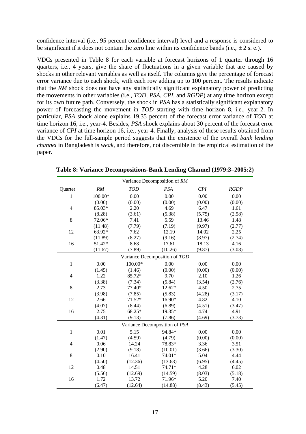confidence interval (i.e., 95 percent confidence interval) level and a response is considered to be significant if it does not contain the zero line within its confidence bands (i.e.,  $\pm 2$  s. e.).

VDCs presented in Table 8 for each variable at forecast horizons of 1 quarter through 16 quarters, i.e., 4 years, give the share of fluctuations in a given variable that are caused by shocks in other relevant variables as well as itself. The columns give the percentage of forecast error variance due to each shock, with each row adding up to 100 percent. The results indicate that the *RM* shock does not have any statistically significant explanatory power of predicting the movements in other variables (i.e., *TOD*, *PSA*, *CPI*, and *RGDP*) at any time horizon except for its own future path. Conversely, the shock in *PSA* has a statistically significant explanatory power of forecasting the movement in *TOD* starting with time horizon 8, i.e., year-2. In particular, *PSA* shock alone explains 19.35 percent of the forecast error variance of *TOD* at time horizon 16, i.e., year-4. Besides, *PSA* shock explains about 30 percent of the forecast error variance of *CPI* at time horizon 16, i.e., year-4. Finally, analysis of these results obtained from the VDCs for the full-sample period suggests that the existence of the overall *bank lending channel* in Bangladesh is *weak*, and therefore, not discernible in the empirical estimation of the paper.

| Variance Decomposition of RM |         |            |                               |        |        |  |  |  |
|------------------------------|---------|------------|-------------------------------|--------|--------|--|--|--|
| Quarter                      | RM      | <b>TOD</b> | PSA                           | CPI    | RGDP   |  |  |  |
| 1                            | 100.00* | 0.00       | 0.00                          | 0.00   | 0.00   |  |  |  |
|                              | (0.00)  | (0.00)     | (0.00)                        | (0.00) | (0.00) |  |  |  |
| $\overline{4}$               | 85.03*  | 2.20       | 4.69                          | 6.47   | 1.61   |  |  |  |
|                              | (8.28)  | (3.61)     | (5.38)                        | (5.75) | (2.58) |  |  |  |
| 8                            | 72.06*  | 7.41       | 5.59                          | 13.46  | 1.48   |  |  |  |
|                              | (11.48) | (7.79)     | (7.19)                        | (9.97) | (2.77) |  |  |  |
| 12                           | 63.92*  | 7.62       | 12.19                         | 14.02  | 2.25   |  |  |  |
|                              | (11.89) | (8.27)     | (9.16)                        | (8.97) | (2.74) |  |  |  |
| 16                           | 51.42*  | 8.68       | 17.61                         | 18.13  | 4.16   |  |  |  |
|                              | (11.67) | (7.89)     | (10.26)                       | (9.87) | (3.08) |  |  |  |
|                              |         |            | Variance Decomposition of TOD |        |        |  |  |  |
| $\mathbf{1}$                 | 0.00    | 100.00*    | 0.00                          | 0.00   | 0.00   |  |  |  |
|                              | (1.45)  | (1.46)     | (0.00)                        | (0.00) | (0.00) |  |  |  |
| $\overline{4}$               | 1.22    | 85.72*     | 9.70                          | 2.10   | 1.26   |  |  |  |
|                              | (3.38)  | (7.34)     | (5.84)                        | (3.54) | (2.76) |  |  |  |
| 8                            | 2.73    | 77.40*     | 12.62*                        | 4.50   | 2.75   |  |  |  |
|                              | (3.98)  | (7.85)     | (5.83)                        | (4.28) | (3.17) |  |  |  |
| 12                           | 2.66    | $71.52*$   | 16.90*                        | 4.82   | 4.10   |  |  |  |
|                              | (4.07)  | (8.44)     | (6.89)                        | (4.51) | (3.47) |  |  |  |
| 16                           | 2.75    | 68.25*     | 19.35*                        | 4.74   | 4.91   |  |  |  |
|                              | (4.31)  | (9.13)     | (7.86)                        | (4.69) | (3.73) |  |  |  |
|                              |         |            | Variance Decomposition of PSA |        |        |  |  |  |
| $\mathbf{1}$                 | 0.01    | 5.15       | 94.84*                        | 0.00   | 0.00   |  |  |  |
|                              | (1.47)  | (4.59)     | (4.79)                        | (0.00) | (0.00) |  |  |  |
| $\overline{4}$               | 0.06    | 14.24      | 78.83*                        | 3.36   | 3.51   |  |  |  |
|                              | (2.90)  | (9.18)     | (10.01)                       | (3.66) | (3.30) |  |  |  |
| 8                            | 0.10    | 16.41      | 74.01*                        | 5.04   | 4.44   |  |  |  |
|                              | (4.50)  | (12.36)    | (13.68)                       | (6.95) | (4.45) |  |  |  |
| 12                           | 0.48    | 14.51      | 74.71*                        | 4.28   | 6.02   |  |  |  |
|                              | (5.56)  | (12.69)    | (14.59)                       | (8.03) | (5.18) |  |  |  |
| 16                           | 1.72    | 13.72      | 71.96*                        | 5.20   | 7.40   |  |  |  |
|                              | (6.47)  | (12.64)    | (14.88)                       | (8.43) | (5.45) |  |  |  |

**Table 8: Variance Decompositions-Bank Lending Channel (1979:3–2005:2)**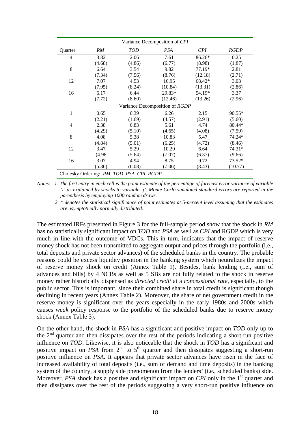| Variance Decomposition of CPI |        |                                        |                                |         |             |  |  |
|-------------------------------|--------|----------------------------------------|--------------------------------|---------|-------------|--|--|
| Quarter                       | RM     | <b>TOD</b>                             | <b>PSA</b>                     | CPI     | <b>RGDP</b> |  |  |
| 4                             | 3.82   | 2.06                                   | 7.61                           | 86.26*  | 0.25        |  |  |
|                               | (4.68) | (4.86)                                 | (6.77)                         | (8.98)  | (1.87)      |  |  |
| 8                             | 6.64   | 3.54                                   | 9.82                           | 77.19*  | 2.81        |  |  |
|                               | (7.34) | (7.56)                                 | (8.76)                         | (12.18) | (2.71)      |  |  |
| 12                            | 7.07   | 4.53                                   | 16.95                          | 68.42*  | 3.03        |  |  |
|                               | (7.95) | (8.24)                                 | (10.84)                        | (13.31) | (2.86)      |  |  |
| 16                            | 6.17   | 6.44                                   | 29.83*                         | 54.19*  | 3.37        |  |  |
|                               | (7.72) | (8.60)                                 | (12.46)                        | (13.26) | (2.96)      |  |  |
|                               |        |                                        | Variance Decomposition of RGDP |         |             |  |  |
| 1                             | 0.65   | 0.39                                   | 6.26                           | 2.15    | $90.55*$    |  |  |
|                               | (2.21) | (1.69)                                 | (4.57)                         | (2.91)  | (5.60)      |  |  |
| $\overline{4}$                | 2.38   | 6.83                                   | 5.61                           | 4.74    | 80.44*      |  |  |
|                               | (4.29) | (5.10)                                 | (4.65)                         | (4.08)  | (7.59)      |  |  |
| 8                             | 4.08   | 5.38                                   | 10.83                          | 5.47    | 74.24*      |  |  |
|                               | (4.84) | (5.01)                                 | (6.25)                         | (4.72)  | (8.46)      |  |  |
| 12                            | 3.47   | 5.29                                   | 10.29                          | 6.64    | 74.31*      |  |  |
|                               | (4.98) | (5.64)                                 | (7.07)                         | (6.37)  | (9.66)      |  |  |
| 16                            | 3.07   | 4.94                                   | 8.75                           | 9.72    | 73.52*      |  |  |
|                               | (5.36) | (6.08)                                 | (7.06)                         | (8.43)  | (10.77)     |  |  |
|                               |        | Cholesky Ordering: RM TOD PSA CPI RGDP |                                |         |             |  |  |

*Notes: 1. The first entry in each cell is the point estimate of the percentage of forecast error variance of variable 'i' as explained by shocks to variable 'j'. Monte Carlo simulated standard errors are reported in the parenthesis by employing 1000 random draws.* 

 *2. \* denotes the statistical significance of point estimates at 5-percent level assuming that the estimates are asymptotically normally distributed.*

The estimated IRFs presented in Figure 3 for the full-sample period show that the shock in *RM*  has no statistically significant impact on *TOD* and *PSA* as well as *CPI* and RGDP which is very much in line with the outcome of VDCs. This in turn, indicates that the impact of reserve money shock has not been transmitted to aggregate output and prices through the portfolio (i.e., total deposits and private sector advances) of the scheduled banks in the country. The probable reasons could be excess liquidity position in the banking system which neutralizes the impact of reserve money shock on credit (Annex Table 1). Besides, bank lending (i.e., sum of advances and bills) by 4 NCBs as well as 5 SBs are not fully related to the shock in reserve money rather historically dispensed as *directed credit* at a *concessional rate*, especially, to the public sector. This is important, since their combined share in total credit is significant though declining in recent years (Annex Table 2). Moreover, the share of net government credit in the reserve money is significant over the years especially in the early 1980s and 2000s which causes *weak* policy response to the portfolio of the scheduled banks due to reserve money shock (Annex Table 3).

On the other hand, the shock in *PSA* has a significant and positive impact on *TOD* only up to the  $2<sup>nd</sup>$  quarter and then dissipates over the rest of the periods indicating a short-run positive influence on *TOD*. Likewise, it is also noticeable that the shock in *TOD* has a significant and positive impact on *PSA* from  $2<sup>nd</sup>$  to  $5<sup>th</sup>$  quarter and then dissipates suggesting a short-run positive influence on *PSA*. It appears that private sector advances have risen in the face of increased availability of total deposits (i.e., sum of demand and time deposits) in the banking system of the country, a supply side phenomenon from the lenders' (i.e., scheduled banks) side. Moreover, *PSA* shock has a positive and significant impact on *CPI* only in the 1<sup>st</sup> quarter and then dissipates over the rest of the periods suggesting a very short-run positive influence on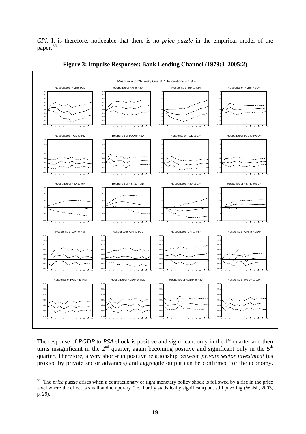*CPI*. It is therefore, noticeable that there is no *price puzzle* in the empirical model of the paper.<sup>[36](#page-21-0)</sup>



**Figure 3: Impulse Responses: Bank Lending Channel (1979:3–2005:2)** 

The response of *RGDP* to *PSA* shock is positive and significant only in the 1<sup>st</sup> quarter and then turns insignificant in the  $2<sup>nd</sup>$  quarter, again becoming positive and significant only in the  $5<sup>th</sup>$ quarter. Therefore, a very short-run positive relationship between *private sector investment* (as proxied by private sector advances) and aggregate output can be confirmed for the economy.

 $\overline{a}$ 

<span id="page-21-0"></span><sup>&</sup>lt;sup>36</sup> The *price puzzle* arises when a contractionary or tight monetary policy shock is followed by a rise in the price level where the effect is small and temporary (i.e., hardly statistically significant) but still puzzling (Walsh, 2003, p. 29).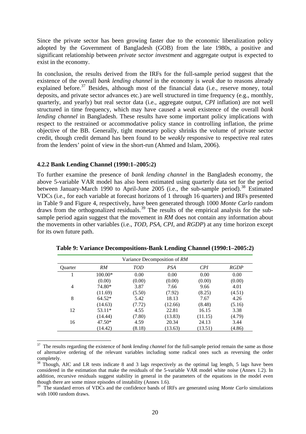Since the private sector has been growing faster due to the economic liberalization policy adopted by the Government of Bangladesh (GOB) from the late 1980s, a positive and significant relationship between *private sector investment* and aggregate output is expected to exist in the economy.

In conclusion, the results derived from the IRFs for the full-sample period suggest that the existence of the overall *bank lending channel* in the economy is *weak* due to reasons already explained before.<sup>[37](#page-22-0)</sup> Besides, although most of the financial data (i.e., reserve money, total deposits, and private sector advances etc.) are well structured in time frequency (e.g., monthly, quarterly, and yearly) but real sector data (i.e., aggregate output, *CPI* inflation) are not well structured in time frequency, which may have caused a *weak* existence of the overall *bank lending channel* in Bangladesh. These results have some important policy implications with respect to the restrained or accommodative policy stance in controlling inflation, the prime objective of the BB. Generally, tight monetary policy shrinks the volume of private sector credit, though credit demand has been found to be *weakly* responsive to respective real rates from the lenders' point of view in the short-run (Ahmed and Islam, 2006).

#### **4.2.2 Bank Lending Channel (1990:1–2005:2)**

 $\overline{a}$ 

To further examine the presence of *bank lending channel* in the Bangladesh economy, the above 5-variable VAR model has also been estimated using quarterly data set for the period between January-March 1990 to April-June 2005 (i.e., the sub-sample period).<sup>[38](#page-22-1)</sup> Estimated VDCs (i.e., for each variable at forecast horizons of 1 through 16 quarters) and IRFs presented in Table 9 and Figure 4, respectively, have been generated through 1000 *Monte Carlo* random draws from the orthogonalized residuals.<sup>[39](#page-22-2)</sup> The results of the empirical analysis for the subsample period again suggest that the movement in *RM* does not contain any information about the movements in other variables (i.e., *TOD*, *PSA*, *CPI*, and *RGDP*) at any time horizon except for its own future path.

|                | Variance Decomposition of RM |            |            |         |             |  |  |  |  |
|----------------|------------------------------|------------|------------|---------|-------------|--|--|--|--|
| <b>Ouarter</b> | RM                           | <b>TOD</b> | <b>PSA</b> | CPI     | <b>RGDP</b> |  |  |  |  |
|                | 100.00*                      | 0.00       | 0.00       | 0.00    | 0.00        |  |  |  |  |
|                | (0.00)                       | (0.00)     | (0.00)     | (0.00)  | (0.00)      |  |  |  |  |
| 4              | 74.80*                       | 3.87       | 7.66       | 9.66    | 4.01        |  |  |  |  |
|                | (11.69)                      | (5.50)     | (7.92)     | (8.25)  | (4.51)      |  |  |  |  |
| 8              | $64.52*$                     | 5.42       | 18.13      | 7.67    | 4.26        |  |  |  |  |
|                | (14.63)                      | (7.72)     | (12.66)    | (8.48)  | (5.16)      |  |  |  |  |
| 12             | $53.11*$                     | 4.55       | 22.81      | 16.15   | 3.38        |  |  |  |  |
|                | (14.44)                      | (7.80)     | (13.83)    | (11.15) | (4.79)      |  |  |  |  |
| 16             | $47.50*$                     | 4.59       | 20.34      | 24.13   | 3.44        |  |  |  |  |
|                | (14.42)                      | (8.18)     | (13.63)    | (13.51) | (4.86)      |  |  |  |  |

**Table 9: Variance Decompositions-Bank Lending Channel (1990:1–2005:2)** 

<span id="page-22-0"></span><sup>37</sup> The results regarding the existence of *bank lending channel* for the full-sample period remain the same as those of alternative ordering of the relevant variables including some radical ones such as reversing the order completely.

<span id="page-22-1"></span><sup>38</sup> Though, AIC and LR tests indicate 8 and 3 lags respectively as the optimal lag length, 5 lags have been considered in the estimation that make the residuals of the 5-variable VAR model white noise (Annex 1.2). In addition, recursive residuals suggest stability in general in the parameters of the equations in the model even though there are some minor episodes of instability (Annex 1.6).

<span id="page-22-2"></span><sup>39</sup> The standard errors of VDCs and the confidence bands of IRFs are generated using *Monte Carlo* simulations with 1000 random draws.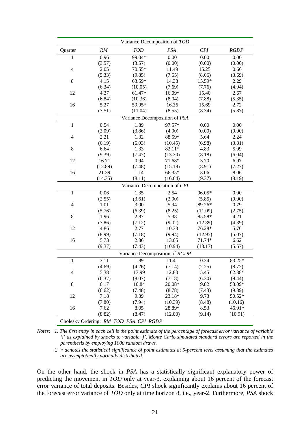|                |                                        | Variance Decomposition of TOD  |         |         |             |  |  |  |
|----------------|----------------------------------------|--------------------------------|---------|---------|-------------|--|--|--|
| Quarter        | RM                                     | <b>TOD</b>                     | PSA     | CPI     | <b>RGDP</b> |  |  |  |
| 1              | 0.96                                   | 99.04*                         | 0.00    | 0.00    | 0.00        |  |  |  |
|                | (3.57)                                 | (3.57)                         | (0.00)  | (0.00)  | (0.00)      |  |  |  |
| $\overline{4}$ | 2.05                                   | 70.55*                         | 11.49   | 15.25   | 0.66        |  |  |  |
|                | (5.33)                                 | (9.85)                         | (7.65)  | (8.06)  | (3.69)      |  |  |  |
| $8\,$          | 4.15                                   | 63.59*                         | 14.38   | 15.59*  | 2.29        |  |  |  |
|                | (6.34)                                 | (10.05)                        | (7.69)  | (7.76)  | (4.94)      |  |  |  |
| 12             | 4.37                                   | 61.47*                         | 16.09*  | 15.40   | 2.67        |  |  |  |
|                | (6.84)                                 | (10.36)                        | (8.04)  | (7.88)  | (5.35)      |  |  |  |
| 16             | 5.27                                   | 59.95*                         | 16.36   | 15.69   | 2.72        |  |  |  |
|                | (7.51)                                 | (11.04)                        | (8.55)  | (8.34)  | (5.87)      |  |  |  |
|                |                                        | Variance Decomposition of PSA  |         |         |             |  |  |  |
| $\mathbf{1}$   | 0.54                                   | 1.89                           | 97.57*  | 0.00    | 0.00        |  |  |  |
|                | (3.09)                                 | (3.86)                         | (4.90)  | (0.00)  | (0.00)      |  |  |  |
| 4              | 2.21                                   | 1.32                           | 88.59*  | 5.64    | 2.24        |  |  |  |
|                | (6.19)                                 | (6.03)                         | (10.45) | (6.98)  | (3.81)      |  |  |  |
| 8              | 6.64                                   | 1.33                           | 82.11*  | 4.83    | 5.09        |  |  |  |
|                | (9.39)                                 | (7.47)                         | (13.30) | (8.18)  | (6.04)      |  |  |  |
| 12             | 16.71                                  | 0.94                           | 71.68*  | 3.70    | 6.97        |  |  |  |
|                | (12.89)                                | (7.48)                         | (15.18) | (8.91)  | (7.27)      |  |  |  |
| 16             | 21.39                                  | 1.14                           | 66.35*  | 3.06    | 8.06        |  |  |  |
|                | (14.35)                                | (8.11)                         | (16.64) | (9.37)  | (8.19)      |  |  |  |
|                | Variance Decomposition of CPI          |                                |         |         |             |  |  |  |
| $\mathbf{1}$   | 0.06                                   | 1.35                           | 2.54    | 96.05*  | 0.00        |  |  |  |
|                | (2.55)                                 | (3.61)                         | (3.90)  | (5.85)  | (0.00)      |  |  |  |
| 4              | 1.01                                   | 3.00                           | 5.94    | 89.26*  | 0.79        |  |  |  |
|                | (5.76)                                 | (6.39)                         | (8.25)  | (11.09) | (2.75)      |  |  |  |
| 8              | 1.96                                   | 2.87                           | 5.38    | 85.58*  | 4.21        |  |  |  |
|                | (7.86)                                 | (7.12)                         | (9.02)  | (12.89) | (4.39)      |  |  |  |
| 12             | 4.86                                   | 2.77                           | 10.33   | 76.28*  | 5.76        |  |  |  |
|                | (8.99)                                 | (7.18)                         | (9.94)  | (12.95) | (5.07)      |  |  |  |
| 16             | 5.73                                   | 2.86                           | 13.05   | 71.74*  | 6.62        |  |  |  |
|                | (9.37)                                 | (7.43)                         | (10.94) | (13.17) | (5.57)      |  |  |  |
|                |                                        | Variance Decomposition of RGDP |         |         |             |  |  |  |
| $\,1\,$        | 3.11                                   | 1.89                           | 11.41   | 0.34    | 83.25*      |  |  |  |
|                | (4.69)                                 | (4.26)                         | (7.14)  | (2.25)  | (8.72)      |  |  |  |
| 4              | 5.38                                   | 13.99                          | 12.80   | 5.45    | 62.38*      |  |  |  |
|                | (6.37)                                 | (8.07)                         | (7.18)  | (6.30)  | (9.44)      |  |  |  |
| $\,8$          | 6.17                                   | 10.84                          | 20.08*  | 9.82    | 53.09*      |  |  |  |
|                | (6.62)                                 | (7.48)                         | (8.78)  | (7.43)  | (9.39)      |  |  |  |
| 12             | 7.18                                   | 9.39                           | 23.18*  | 9.73    | 50.52*      |  |  |  |
|                | (7.80)                                 | (7.94)                         | (10.39) | (8.48)  | (10.16)     |  |  |  |
| 16             | 7.62                                   | 8.05                           | 28.89*  | 8.53    | 46.91*      |  |  |  |
|                | (8.82)                                 | (8.47)                         | (12.00) | (9.14)  | (10.91)     |  |  |  |
|                | Cholesky Ordering: RM TOD PSA CPI RGDP |                                |         |         |             |  |  |  |

*Notes: 1. The first entry in each cell is the point estimate of the percentage of forecast error variance of variable 'i' as explained by shocks to variable 'j'. Monte Carlo simulated standard errors are reported in the parenthesis by employing 1000 random draws.* 

 *2. \* denotes the statistical significance of point estimates at 5-percent level assuming that the estimates are asymptotically normally distributed.*

On the other hand, the shock in *PSA* has a statistically significant explanatory power of predicting the movement in *TOD* only at year-3, explaining about 16 percent of the forecast error variance of total deposits. Besides, *CPI* shock significantly explains about 16 percent of the forecast error variance of *TOD* only at time horizon 8, i.e., year-2. Furthermore, *PSA* shock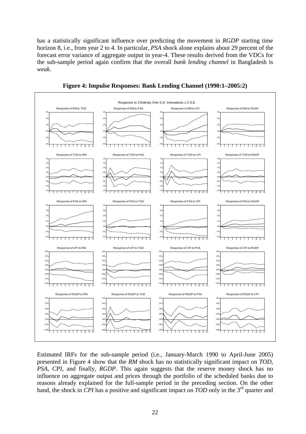has a statistically significant influence over predicting the movement in *RGDP* starting time horizon 8, i.e., from year 2 to 4. In particular, *PSA* shock alone explains about 29 percent of the forecast error variance of aggregate output in year-4. These results derived from the VDCs for the sub-sample period again confirm that the overall *bank lending channel* in Bangladesh is *weak*.



**Figure 4: Impulse Responses: Bank Lending Channel (1990:1–2005:2)** 

Estimated IRFs for the sub-sample period (i.e., January-March 1990 to April-June 2005) presented in Figure 4 show that the *RM* shock has no statistically significant impact on *TOD*, *PSA*, *CPI*, and finally, *RGDP*. This again suggests that the reserve money shock has no influence on aggregate output and prices through the portfolio of the scheduled banks due to reasons already explained for the full-sample period in the preceding section. On the other hand, the shock in *CPI* has a positive and significant impact on *TOD* only in the 3<sup>rd</sup> quarter and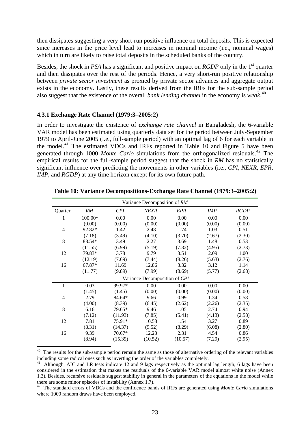then dissipates suggesting a very short-run positive influence on total deposits. This is expected since increases in the price level lead to increases in nominal income (i.e., nominal wages) which in turn are likely to raise total deposits in the scheduled banks of the country.

Besides, the shock in *PSA* has a significant and positive impact on *RGDP* only in the 1st quarter and then dissipates over the rest of the periods. Hence, a very short-run positive relationship between *private sector investment* as proxied by private sector advances and aggregate output exists in the economy. Lastly, these results derived from the IRFs for the sub-sample period also suggest that the existence of the overall *bank lending channel* in the economy is *weak*. [40](#page-25-0)

#### **4.3.1 Exchange Rate Channel (1979:3–2005:2)**

 $\overline{a}$ 

In order to investigate the existence of *exchange rate channel* in Bangladesh, the 6-variable VAR model has been estimated using quarterly data set for the period between July-September 1979 to April-June 2005 (i.e., full-sample period) with an optimal lag of 6 for each variable in the model.[41](#page-25-1) The estimated VDCs and IRFs reported in Table 10 and Figure 5 have been generated through 1000 *Monte Carlo* simulations from the orthogonalized residuals.<sup>[42](#page-25-2)</sup> The empirical results for the full-sample period suggest that the shock in *RM* has no statistically significant influence over predicting the movements in other variables (i.e., *CPI*, *NEXR*, *EPR*, *IMP*, and *RGDP*) at any time horizon except for its own future path.

|                | Variance Decomposition of RM |          |                               |            |            |             |  |  |  |  |
|----------------|------------------------------|----------|-------------------------------|------------|------------|-------------|--|--|--|--|
| Quarter        | RM                           | CPI      | <b>NEXR</b>                   | <b>EPR</b> | <b>IMP</b> | <b>RGDP</b> |  |  |  |  |
| 1              | 100.00*                      | 0.00     | 0.00                          | 0.00       | 0.00       | 0.00        |  |  |  |  |
|                | (0.00)                       | (0.00)   | (0.00)                        | (0.00)     | (0.00)     | (0.00)      |  |  |  |  |
| $\overline{4}$ | 92.82*                       | 1.42     | 2.48                          | 1.74       | 1.03       | 0.51        |  |  |  |  |
|                | (7.18)                       | (3.49)   | (4.10)                        | (3.70)     | (2.67)     | (2.30)      |  |  |  |  |
| 8              | 88.54*                       | 3.49     | 2.27                          | 3.69       | 1.48       | 0.53        |  |  |  |  |
|                | (11.55)                      | (6.99)   | (5.19)                        | (7.32)     | (4.95)     | (2.73)      |  |  |  |  |
| 12             | 79.83*                       | 3.78     | 9.79                          | 3.51       | 2.09       | 1.00        |  |  |  |  |
|                | (12.19)                      | (7.69)   | (7.44)                        | (8.26)     | (5.63)     | (2.76)      |  |  |  |  |
| 16             | 67.87*                       | 11.69    | 12.86                         | 3.32       | 3.12       | 1.14        |  |  |  |  |
|                | (11.77)                      | (9.89)   | (7.99)                        | (8.69)     | (5.77)     | (2.68)      |  |  |  |  |
|                |                              |          | Variance Decomposition of CPI |            |            |             |  |  |  |  |
| $\mathbf{1}$   | 0.03                         | 99.97*   | 0.00                          | 0.00       | 0.00       | 0.00        |  |  |  |  |
|                | (1.45)                       | (1.45)   | (0.00)                        | (0.00)     | (0.00)     | (0.00)      |  |  |  |  |
| 4              | 2.79                         | 84.64*   | 9.66                          | 0.99       | 1.34       | 0.58        |  |  |  |  |
|                | (4.00)                       | (8.39)   | (6.45)                        | (2.62)     | (2.26)     | (2.35)      |  |  |  |  |
| 8              | 6.16                         | 79.65*   | 9.46                          | 1.05       | 2.74       | 0.94        |  |  |  |  |
|                | (7.12)                       | (11.93)  | (7.85)                        | (5.41)     | (4.13)     | (2.58)      |  |  |  |  |
| 12             | 7.81                         | 75.91*   | 10.58                         | 1.54       | 3.27       | 0.89        |  |  |  |  |
|                | (8.31)                       | (14.37)  | (9.52)                        | (8.29)     | (6.08)     | (2.80)      |  |  |  |  |
| 16             | 9.39                         | $70.67*$ | 12.23                         | 2.31       | 4.54       | 0.86        |  |  |  |  |
|                | (8.94)                       | (15.39)  | (10.52)                       | (10.57)    | (7.29)     | (2.95)      |  |  |  |  |

**Table 10: Variance Decompositions-Exchange Rate Channel (1979:3–2005:2)** 

<span id="page-25-0"></span><sup>40</sup> The results for the sub-sample period remain the same as those of alternative ordering of the relevant variables including some radical ones such as inverting the order of the variables completely.

<span id="page-25-1"></span><sup>41</sup> Although, AIC and LR tests indicate 12 and 9 lags respectively as the optimal lag length, 6 lags have been considered in the estimation that makes the residuals of the 6-variable VAR model almost white noise (Annex 1.3). Besides, recursive residuals suggest stability in general in the parameters of the equations in the model while there are some minor episodes of instability (Annex 1.7).

<span id="page-25-2"></span><sup>&</sup>lt;sup>42</sup> The standard errors of VDCs and the confidence bands of IRFs are generated using *Monte Carlo* simulations where 1000 random draws have been employed.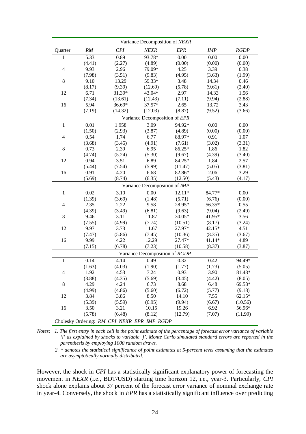| Variance Decomposition of NEXR |        |                                             |                                |            |            |             |  |  |
|--------------------------------|--------|---------------------------------------------|--------------------------------|------------|------------|-------------|--|--|
| Quarter                        | RM     | CPI                                         | <b>NEXR</b>                    | <b>EPR</b> | <b>IMP</b> | <b>RGDP</b> |  |  |
| $\mathbf{1}$                   | 5.33   | 0.89                                        | 93.78*                         | 0.00       | 0.00       | 0.00        |  |  |
|                                | (4.41) | (2.27)                                      | (4.89)                         | (0.00)     | (0.00)     | (0.00)      |  |  |
| $\overline{4}$                 | 9.93   | 2.96                                        | 79.09*                         | 4.25       | 3.39       | 0.38        |  |  |
|                                | (7.98) | (3.51)                                      | (9.83)                         | (4.95)     | (3.63)     | (1.99)      |  |  |
| $\,8\,$                        | 9.10   | 13.29                                       | 59.33*                         | 3.48       | 14.34      | 0.46        |  |  |
|                                | (8.17) | (9.39)                                      | (12.69)                        | (5.78)     | (9.61)     | (2.40)      |  |  |
| 12                             | 6.71   | 31.39*                                      | 43.04*                         | 2.97       | 14.33      | 1.56        |  |  |
|                                | (7.34) | (13.61)                                     | (12.43)                        | (7.11)     | (9.94)     | (2.88)      |  |  |
| 16                             | 5.94   | 36.69*                                      | 37.57*                         | 2.65       | 13.72      | 3.43        |  |  |
|                                | (7.19) | (14.32)                                     | (12.03)                        | (8.87)     | (9.52)     | (3.66)      |  |  |
|                                |        |                                             | Variance Decomposition of EPR  |            |            |             |  |  |
| $\mathbf{1}$                   | 0.01   | 1.958                                       | 3.09                           | 94.92*     | 0.00       | 0.00        |  |  |
|                                | (1.50) | (2.93)                                      | (3.87)                         | (4.89)     | (0.00)     | (0.00)      |  |  |
| $\overline{4}$                 | 0.54   | 1.74                                        | 6.77                           | 88.97*     | 0.91       | 1.07        |  |  |
|                                | (3.68) | (3.45)                                      | (4.91)                         | (7.61)     | (3.02)     | (3.31)      |  |  |
| $\,$ 8 $\,$                    | 0.73   | 2.39                                        | 6.95                           | 86.25*     | 1.86       | 1.82        |  |  |
|                                | (4.74) | (5.24)                                      | (5.30)                         | (9.67)     | (4.39)     | (3.40)      |  |  |
| 12                             | 0.94   | 3.51                                        | 6.89                           | 84.25*     | 1.84       | 2.57        |  |  |
|                                | (5.44) | (7.54)                                      | (5.99)                         | (11.47)    | (5.05)     | (3.81)      |  |  |
| 16                             | 0.91   | 4.20                                        | 6.68                           | 82.86*     | 2.06       | 3.29        |  |  |
|                                | (5.69) | (8.74)                                      | (6.35)                         | (12.50)    | (5.43)     | (4.17)      |  |  |
|                                |        |                                             | Variance Decomposition of IMP  |            |            |             |  |  |
| $\mathbf{1}$                   | 0.02   | 3.10                                        | 0.00                           | $12.11*$   | 84.77*     | 0.00        |  |  |
|                                | (1.39) | (3.69)                                      | (1.48)                         | (5.71)     | (6.76)     | (0.00)      |  |  |
| 4                              | 2.35   | 2.22                                        | 9.58                           | 28.95*     | 56.35*     | 0.55        |  |  |
|                                | (4.39) | (3.49)                                      | (6.81)                         | (9.63)     | (9.04)     | (2.49)      |  |  |
| $\,8\,$                        | 9.46   | 3.11                                        | 11.87                          | 30.05*     | 41.95*     | 3.56        |  |  |
|                                | (7.55) | (4.99)                                      | (7.74)                         | (10.51)    | (8.17)     | (3.24)      |  |  |
| 12                             | 9.97   | 3.73                                        | 11.67                          | 27.97*     | 42.15*     | 4.51        |  |  |
|                                | (7.47) | (5.86)                                      | (7.45)                         | (10.36)    | (8.35)     | (3.67)      |  |  |
| 16                             | 9.99   | 4.22                                        | 12.29                          | 27.47*     | 41.14*     | 4.89        |  |  |
|                                | (7.15) | (6.78)                                      | (7.23)                         | (10.58)    | (8.37)     | (3.87)      |  |  |
|                                |        |                                             | Variance Decomposition of RGDP |            |            |             |  |  |
| $\mathbf{1}$                   | 0.14   | 4.14                                        | 0.49                           | 0.32       | 0.42       | 94.49*      |  |  |
|                                | (1.63) | (4.03)                                      | (1.90)                         | (1.77)     | (1.73)     | (5.05)      |  |  |
| 4                              | 1.92   | 4.53                                        | 7.24                           | 0.93       | 3.90       | 81.48*      |  |  |
|                                | (3.88) | (4.35)                                      | (5.69)                         | (3.45)     | (4.42)     | (8.05)      |  |  |
| 8                              | 4.29   | 4.24                                        | 6.73                           | 8.68       | 6.48       | $69.58*$    |  |  |
|                                | (4.99) | (4.86)                                      | (5.60)                         | (6.72)     | (5.77)     | (9.18)      |  |  |
| 12                             | 3.84   | 3.86                                        | 8.50                           | 14.10      | 7.55       | $62.15*$    |  |  |
|                                | (5.39) | (5.59)                                      | (6.95)                         | (9.94)     | (6.67)     | (10.56)     |  |  |
| 16                             | 3.50   | 3.21                                        | 10.15                          | 19.26      | 6.92       | 56.96*      |  |  |
|                                | (5.78) | (6.48)                                      | (8.12)                         | (12.79)    | (7.07)     | (11.99)     |  |  |
|                                |        | Cholesky Ordering: RM CPI NEXR EPR IMP RGDP |                                |            |            |             |  |  |

*Notes: 1. The first entry in each cell is the point estimate of the percentage of forecast error variance of variable 'i' as explained by shocks to variable 'j'. Monte Carlo simulated standard errors are reported in the parenthesis by employing 1000 random draws.* 

 *2. \* denotes the statistical significance of point estimates at 5-percent level assuming that the estimates are asymptotically normally distributed.*

However, the shock in *CPI* has a statistically significant explanatory power of forecasting the movement in *NEXR* (i.e., BDT/USD) starting time horizon 12, i.e., year-3. Particularly, *CPI*  shock alone explains about 37 percent of the forecast error variance of nominal exchange rate in year-4. Conversely, the shock in *EPR* has a statistically significant influence over predicting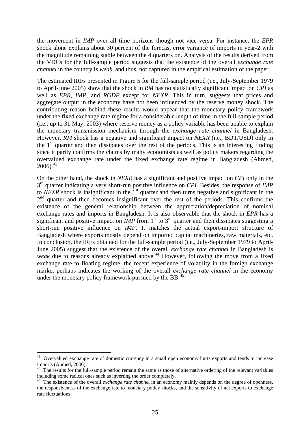the movement in *IMP* over all time horizons though not vice versa. For instance, the *EPR* shock alone explains about 30 percent of the forecast error variance of imports in year-2 with the magnitude remaining stable between the 4 quarters on. Analysis of the results derived from the VDCs for the full-sample period suggests that the existence of the overall *exchange rate channel* in the country is *weak*, and thus, not captured in the empirical estimation of the paper.

The estimated IRFs presented in Figure 5 for the full-sample period (i.e., July-September 1979 to April-June 2005) show that the shock in *RM* has no statistically significant impact on *CPI* as well as *EPR*, *IMP*, and *RGDP* except for *NEXR*. This in turn, suggests that prices and aggregate output in the economy have not been influenced by the reserve money shock. The contributing reason behind these results would appear that the monetary policy framework under the fixed exchange rate regime for a considerable length of time in the full-sample period (i.e., up to 31 May, 2003) where reserve money as a policy variable has been unable to explain the monetary transmission mechanism through the *exchange rate channel* in Bangladesh. However, *RM* shock has a negative and significant impact on *NEXR* (i.e., BDT/USD) only in the  $1<sup>st</sup>$  quarter and then dissipates over the rest of the periods. This is an interesting finding since it partly confirms the claims by many economists as well as policy makers regarding the overvalued exchange rate under the fixed exchange rate regime in Bangladesh (Ahmed,  $2006$ ).<sup>[43](#page-27-0)</sup>

On the other hand, the shock in *NEXR* has a significant and positive impact on *CPI* only in the 3rd quarter indicating a very short-run positive influence on *CPI*. Besides, the response of *IMP* to *NEXR* shock is insignificant in the 1<sup>st</sup> quarter and then turns negative and significant in the  $2<sup>nd</sup>$  quarter and then becomes insignificant over the rest of the periods. This confirms the existence of the general relationship between the appreciation/depreciation of nominal exchange rates and imports in Bangladesh. It is also observable that the shock in *EPR* has a significant and positive impact on *IMP* from  $1<sup>st</sup>$  to  $3<sup>rd</sup>$  quarter and then dissipates suggesting a short-run positive influence on *IMP*. It matches the actual export-import structure of Bangladesh where exports mostly depend on imported capital machineries, raw materials, etc. In conclusion, the IRFs obtained for the full-sample period (i.e., July-September 1979 to April-June 2005) suggest that the existence of the overall *exchange rate channel* in Bangladesh is *weak* due to reasons already explained above.<sup>[44](#page-27-1)</sup> However, following the move from a fixed exchange rate to floating regime, the recent experience of volatility in the foreign exchange market perhaps indicates the working of the overall *exchange rate channel* in the economy under the monetary policy framework pursued by the BB.<sup>[45](#page-27-2)</sup>

 $\overline{a}$ 

<span id="page-27-0"></span><sup>&</sup>lt;sup>43</sup> Overvalued exchange rate of domestic currency in a small open economy hurts exports and tends to increase imports (Ahmed, 2006).

<span id="page-27-1"></span><sup>&</sup>lt;sup>44</sup> The results for the full-sample period remain the same as those of alternative ordering of the relevant variables including some radical ones such as inverting the order completely.

<span id="page-27-2"></span><sup>&</sup>lt;sup>45</sup> The existence of the overall *exchange rate channel* in an economy mainly depends on the degree of openness, the responsiveness of the exchange rate to monetary policy shocks, and the sensitivity of net exports to exchange rate fluctuations.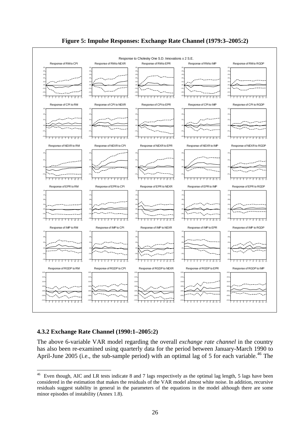



### **4.3.2 Exchange Rate Channel (1990:1–2005:2)**

 $\overline{a}$ 

The above 6-variable VAR model regarding the overall *exchange rate channel* in the country has also been re-examined using quarterly data for the period between January-March 1990 to April-June 2005 (i.e., the sub-sample period) with an optimal lag of 5 for each variable.<sup>[46](#page-28-0)</sup> The

<span id="page-28-0"></span> $46$  Even though, AIC and LR tests indicate 8 and 7 lags respectively as the optimal lag length, 5 lags have been considered in the estimation that makes the residuals of the VAR model almost white noise. In addition, recursive residuals suggest stability in general in the parameters of the equations in the model although there are some minor episodes of instability (Annex 1.8).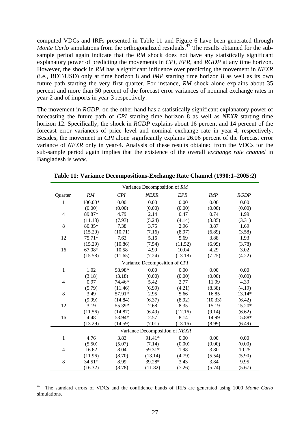computed VDCs and IRFs presented in Table 11 and Figure 6 have been generated through *Monte Carlo* simulations from the orthogonalized residuals.<sup>[47](#page-29-0)</sup> The results obtained for the subsample period again indicate that the *RM* shock does not have any statistically significant explanatory power of predicting the movements in *CPI*, *EPR*, and *RGDP* at any time horizon. However, the shock in *RM* has a significant influence over predicting the movement in *NEXR* (i.e., BDT/USD) only at time horizon 8 and *IMP* starting time horizon 8 as well as its own future path starting the very first quarter. For instance, *RM* shock alone explains about 35 percent and more than 50 percent of the forecast error variances of nominal exchange rates in year-2 and of imports in year-3 respectively.

The movement in *RGDP*, on the other hand has a statistically significant explanatory power of forecasting the future path of *CPI* starting time horizon 8 as well as *NEXR* starting time horizon 12. Specifically, the shock in *RGDP* explains about 16 percent and 14 percent of the forecast error variances of price level and nominal exchange rate in year-4, respectively. Besides, the movement in *CPI* alone significantly explains 26.06 percent of the forecast error variance of *NEXR* only in year-4. Analysis of these results obtained from the VDCs for the sub-sample period again implies that the existence of the overall *exchange rate channel* in Bangladesh is *weak*.

|                | Variance Decomposition of RM |         |                                |            |            |             |  |
|----------------|------------------------------|---------|--------------------------------|------------|------------|-------------|--|
| Quarter        | RM                           | CPI     | <b>NEXR</b>                    | <b>EPR</b> | <b>IMP</b> | <b>RGDP</b> |  |
| 1              | 100.00*                      | 0.00    | 0.00                           | 0.00       | 0.00       | 0.00        |  |
|                | (0.00)                       | (0.00)  | (0.00)                         | (0.00)     | (0.00)     | (0.00)      |  |
| $\overline{4}$ | 89.87*                       | 4.79    | 2.14                           | 0.47       | 0.74       | 1.99        |  |
|                | (11.13)                      | (7.93)  | (5.24)                         | (4.14)     | (3.85)     | (3.31)      |  |
| 8              | 80.35*                       | 7.38    | 3.75                           | 2.96       | 3.87       | 1.69        |  |
|                | (15.20)                      | (10.71) | (7.16)                         | (8.97)     | (6.89)     | (3.58)      |  |
| 12             | 75.71*                       | 7.63    | 5.16                           | 5.69       | 3.88       | 1.93        |  |
|                | (15.29)                      | (10.86) | (7.54)                         | (11.52)    | (6.99)     | (3.78)      |  |
| 16             | 67.08*                       | 10.58   | 4.99                           | 10.04      | 4.29       | 3.02        |  |
|                | (15.58)                      | (11.65) | (7.24)                         | (13.18)    | (7.25)     | (4.22)      |  |
|                |                              |         | Variance Decomposition of CPI  |            |            |             |  |
| $\mathbf{1}$   | 1.02                         | 98.98*  | 0.00                           | 0.00       | 0.00       | 0.00        |  |
|                | (3.18)                       | (3.18)  | (0.00)                         | (0.00)     | (0.00)     | (0.00)      |  |
| 4              | 0.97                         | 74.46*  | 5.42                           | 2.77       | 11.99      | 4.39        |  |
|                | (5.79)                       | (11.46) | (6.99)                         | (4.21)     | (8.38)     | (4.19)      |  |
| 8              | 3.49                         | 57.91*  | 2.95                           | 5.66       | 16.85      | 13.14*      |  |
|                | (9.99)                       | (14.84) | (6.37)                         | (8.92)     | (10.33)    | (6.42)      |  |
| 12             | 3.19                         | 55.39*  | 2.68                           | 8.35       | 15.19      | 15.20*      |  |
|                | (11.56)                      | (14.87) | (6.49)                         | (12.16)    | (9.14)     | (6.62)      |  |
| 16             | 4.48                         | 53.94*  | 2.57                           | 8.14       | 14.99      | 15.88*      |  |
|                | (13.29)                      | (14.59) | (7.01)                         | (13.16)    | (8.99)     | (6.49)      |  |
|                |                              |         | Variance Decomposition of NEXR |            |            |             |  |
| $\mathbf{1}$   | 4.76                         | 3.83    | 91.41*                         | 0.00       | 0.00       | 0.00        |  |
|                | (5.50)                       | (5.07)  | (7.14)                         | (0.00)     | (0.00)     | (0.00)      |  |
| 4              | 16.62                        | 8.04    | 59.31*                         | 1.98       | 3.80       | 10.25       |  |
|                | (11.96)                      | (8.70)  | (13.14)                        | (4.79)     | (5.54)     | (5.90)      |  |
| 8              | 34.51*                       | 8.99    | 39.28*                         | 3.43       | 3.84       | 9.95        |  |
|                | (16.32)                      | (8.78)  | (11.82)                        | (7.26)     | (5.74)     | (5.67)      |  |

**Table 11: Variance Decompositions-Exchange Rate Channel (1990:1–2005:2)** 

 $\overline{a}$ 

<span id="page-29-0"></span><sup>47</sup> The standard errors of VDCs and the confidence bands of IRFs are generated using 1000 *Monte Carlo* simulations.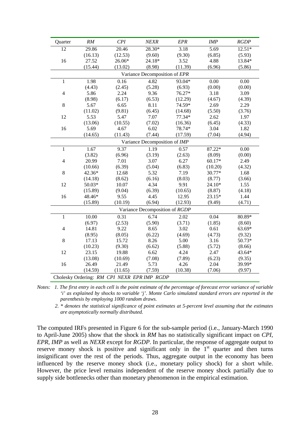| Quarter                                     | RM      | CPI     | <b>NEXR</b>                    | <b>EPR</b> | <b>IMP</b> | RGDP     |  |  |  |  |
|---------------------------------------------|---------|---------|--------------------------------|------------|------------|----------|--|--|--|--|
| 12                                          | 29.86   | 20.46   | 28.30*                         | 3.18       | 5.69       | $12.51*$ |  |  |  |  |
|                                             | (16.13) | (12.53) | (9.60)                         | (9.30)     | (6.85)     | (5.93)   |  |  |  |  |
| 16                                          | 27.52   | 26.06*  | 24.18*                         | 3.52       | 4.88       | 13.84*   |  |  |  |  |
|                                             | (15.44) | (13.02) | (8.98)                         | (11.39)    | (6.96)     | (5.86)   |  |  |  |  |
| Variance Decomposition of EPR               |         |         |                                |            |            |          |  |  |  |  |
| $\mathbf{1}$                                | 1.98    | 0.16    | 4.82                           | 93.04*     | 0.00       | $0.00\,$ |  |  |  |  |
|                                             | (4.43)  | (2.45)  | (5.28)                         | (6.93)     | (0.00)     | (0.00)   |  |  |  |  |
| $\overline{4}$                              | 5.86    | 2.24    | 9.36                           | 76.27*     | 3.18       | 3.09     |  |  |  |  |
|                                             | (8.98)  | (6.17)  | (6.53)                         | (12.29)    | (4.67)     | (4.39)   |  |  |  |  |
| 8                                           | 5.67    | 6.65    | 8.11                           | 74.59*     | 2.69       | 2.29     |  |  |  |  |
|                                             | (11.02) | (9.81)  | (6.45)                         | (14.68)    | (5.50)     | (3.76)   |  |  |  |  |
| 12                                          | 5.53    | 5.47    | 7.07                           | 77.34*     | 2.62       | 1.97     |  |  |  |  |
|                                             | (13.06) | (10.55) | (7.02)                         | (16.36)    | (6.45)     | (4.33)   |  |  |  |  |
| 16                                          | 5.69    | 4.67    | 6.02                           | 78.74*     | 3.04       | 1.82     |  |  |  |  |
|                                             | (14.65) | (11.43) | (7.44)                         | (17.59)    | (7.04)     | (4.94)   |  |  |  |  |
|                                             |         |         | Variance Decomposition of IMP  |            |            |          |  |  |  |  |
| $\mathbf{1}$                                | 1.67    | 9.37    | 1.19                           | 0.57       | 87.22*     | 0.00     |  |  |  |  |
|                                             | (3.82)  | (6.96)  | (3.19)                         | (2.63)     | (8.09)     | (0.00)   |  |  |  |  |
| $\overline{4}$                              | 20.99   | 7.01    | 3.07                           | 6.27       | $60.17*$   | 2.49     |  |  |  |  |
|                                             | (10.66) | (6.39)  | (5.04)                         | (6.83)     | (10.20)    | (4.32)   |  |  |  |  |
| $\,8\,$                                     | 42.36*  | 12.68   | 5.32                           | 7.19       | 30.77*     | 1.68     |  |  |  |  |
|                                             | (14.18) | (8.62)  | (6.16)                         | (8.03)     | (8.77)     | (3.66)   |  |  |  |  |
| 12                                          | 50.03*  | 10.07   | 4.34                           | 9.91       | $24.10*$   | 1.55     |  |  |  |  |
|                                             | (15.89) | (9.04)  | (6.39)                         | (10.65)    | (8.87)     | (4.18)   |  |  |  |  |
| 16                                          | 48.46*  | 9.55    | 4.45                           | 12.95      | 23.15*     | 1.44     |  |  |  |  |
|                                             | (15.89) | (10.19) | (6.94)                         | (12.93)    | (9.49)     | (4.71)   |  |  |  |  |
|                                             |         |         | Variance Decomposition of RGDP |            |            |          |  |  |  |  |
| $\mathbf{1}$                                | 10.00   | 0.31    | 6.74                           | 2.02       | 0.04       | 80.89*   |  |  |  |  |
|                                             | (6.97)  | (2.53)  | (5.90)                         | (3.71)     | (1.85)     | (8.60)   |  |  |  |  |
| $\overline{4}$                              | 14.81   | 9.22    | 8.65                           | 3.02       | 0.61       | 63.69*   |  |  |  |  |
|                                             | (8.95)  | (8.05)  | (6.22)                         | (4.69)     | (4.73)     | (9.32)   |  |  |  |  |
| $\,8\,$                                     | 17.13   | 15.72   | 8.26                           | 5.00       | 3.16       | 50.73*   |  |  |  |  |
|                                             | (10.23) | (9.30)  | (6.62)                         | (5.88)     | (5.72)     | (8.66)   |  |  |  |  |
| 12                                          | 23.15   | 19.88   | 6.62                           | 4.24       | 2.47       | 43.64*   |  |  |  |  |
|                                             | (13.08) | (10.69) | (7.08)                         | (7.89)     | (6.23)     | (9.35)   |  |  |  |  |
| 16                                          | 26.49   | 21.49   | 5.73                           | 4.26       | 2.04       | 39.99*   |  |  |  |  |
|                                             | (14.59) | (11.65) | (7.59)                         | (10.38)    | (7.06)     | (9.97)   |  |  |  |  |
| Cholesky Ordering: RM CPI NEXR EPR IMP RGDP |         |         |                                |            |            |          |  |  |  |  |

*Notes: 1. The first entry in each cell is the point estimate of the percentage of forecast error variance of variable 'i' as explained by shocks to variable 'j'. Monte Carlo simulated standard errors are reported in the parenthesis by employing 1000 random draws.* 

 *2. \* denotes the statistical significance of point estimates at 5-percent level assuming that the estimates are asymptotically normally distributed.*

The computed IRFs presented in Figure 6 for the sub-sample period (i.e., January-March 1990 to April-June 2005) show that the shock in *RM* has no statistically significant impact on *CPI*, *EPR*, *IMP* as well as *NEXR* except for *RGDP*. In particular, the response of aggregate output to reserve money shock is positive and significant only in the  $1<sup>st</sup>$  quarter and then turns insignificant over the rest of the periods. Thus, aggregate output in the economy has been influenced by the reserve money shock (i.e., monetary policy shock) for a short while. However, the price level remains independent of the reserve money shock partially due to supply side bottlenecks other than monetary phenomenon in the empirical estimation.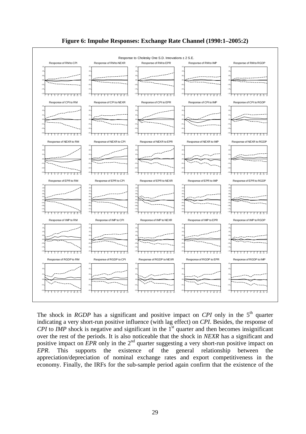



The shock in *RGDP* has a significant and positive impact on *CPI* only in the  $5<sup>th</sup>$  quarter indicating a very short-run positive influence (with lag effect) on *CPI*. Besides, the response of *CPI* to *IMP* shock is negative and significant in the 1<sup>st</sup> quarter and then becomes insignificant over the rest of the periods. It is also noticeable that the shock in *NEXR* has a significant and positive impact on *EPR* only in the 2<sup>nd</sup> quarter suggesting a very short-run positive impact on *EPR*. This supports the existence of the general relationship between the appreciation/depreciation of nominal exchange rates and export competitiveness in the economy. Finally, the IRFs for the sub-sample period again confirm that the existence of the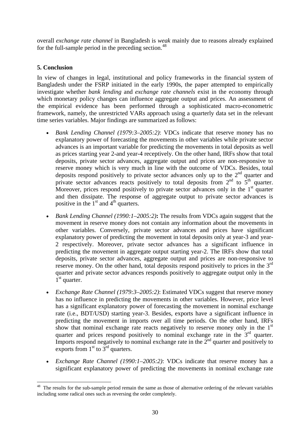overall *exchange rate channel* in Bangladesh is *weak* mainly due to reasons already explained for the full-sample period in the preceding section. $48$ 

### **5. Conclusion**

In view of changes in legal, institutional and policy frameworks in the financial system of Bangladesh under the FSRP initiated in the early 1990s, the paper attempted to empirically investigate whether *bank lending* and *exchange rate channels* exist in the economy through which monetary policy changes can influence aggregate output and prices. An assessment of the empirical evidence has been performed through a sophisticated macro-econometric framework, namely, the unrestricted VARs approach using a quarterly data set in the relevant time series variables. Major findings are summarized as follows:

- *Bank Lending Channel (1979:3–2005:2)*: VDCs indicate that reserve money has no explanatory power of forecasting the movements in other variables while private sector advances is an important variable for predicting the movements in total deposits as well as prices starting year 2-and year-4 receptively. On the other hand, IRFs show that total deposits, private sector advances, aggregate output and prices are non-responsive to reserve money which is very much in line with the outcome of VDCs. Besides, total deposits respond positively to private sector advances only up to the  $2<sup>nd</sup>$  quarter and private sector advances reacts positively to total deposits from  $2<sup>nd</sup>$  to  $5<sup>th</sup>$  quarter. Moreover, prices respond positively to private sector advances only in the  $1<sup>st</sup>$  quarter and then dissipate. The response of aggregate output to private sector advances is positive in the  $1<sup>st</sup>$  and  $4<sup>th</sup>$  quarters.
- *Bank Lending Channel (1990:1–2005:2)***:** The results from VDCs again suggest that the movement in reserve money does not contain any information about the movements in other variables. Conversely, private sector advances and prices have significant explanatory power of predicting the movement in total deposits only at year-3 and year-2 respectively. Moreover, private sector advances has a significant influence in predicting the movement in aggregate output starting year-2. The IRFs show that total deposits, private sector advances, aggregate output and prices are non-responsive to reserve money. On the other hand, total deposits respond positively to prices in the  $3<sup>rd</sup>$ quarter and private sector advances responds positively to aggregate output only in the  $1<sup>st</sup>$  quarter.
- *Exchange Rate Channel (1979:3–2005:2)*: Estimated VDCs suggest that reserve money has no influence in predicting the movements in other variables. However, price level has a significant explanatory power of forecasting the movement in nominal exchange rate (i.e., BDT/USD) starting year-3. Besides, exports have a significant influence in predicting the movement in imports over all time periods. On the other hand, IRFs show that nominal exchange rate reacts negatively to reserve money only in the  $1<sup>st</sup>$ quarter and prices respond positively to nominal exchange rate in the  $3<sup>rd</sup>$  quarter. Imports respond negatively to nominal exchange rate in the  $2<sup>nd</sup>$  quarter and positively to exports from  $1<sup>st</sup>$  to  $3<sup>rd</sup>$  quarters.
- *Exchange Rate Channel (1990:1–2005:2)*: VDCs indicate that reserve money has a significant explanatory power of predicting the movements in nominal exchange rate

<span id="page-32-0"></span> $\overline{a}$  $48$  The results for the sub-sample period remain the same as those of alternative ordering of the relevant variables including some radical ones such as reversing the order completely.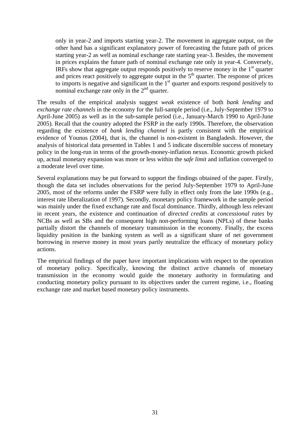only in year-2 and imports starting year-2. The movement in aggregate output, on the other hand has a significant explanatory power of forecasting the future path of prices starting year-2 as well as nominal exchange rate starting year-3. Besides, the movement in prices explains the future path of nominal exchange rate only in year-4. Conversely, IRFs show that aggregate output responds positively to reserve money in the  $1<sup>st</sup>$  quarter and prices react positively to aggregate output in the  $5<sup>th</sup>$  quarter. The response of prices to imports is negative and significant in the  $1<sup>st</sup>$  quarter and exports respond positively to nominal exchange rate only in the  $2<sup>nd</sup>$  quarter.

The results of the empirical analysis suggest *weak* existence of both *bank lending* and *exchange rate channels* in the economy for the full-sample period (i.e., July-September 1979 to April-June 2005) as well as in the sub-sample period (i.e., January-March 1990 to April-June 2005). Recall that the country adopted the FSRP in the early 1990s. Therefore, the observation regarding the existence of *bank lending channel* is partly consistent with the empirical evidence of Younus (2004), that is, the channel is non-existent in Bangladesh. However, the analysis of historical data presented in Tables 1 and 5 indicate discernible success of monetary policy in the long-run in terms of the growth-money-inflation nexus. Economic growth picked up, actual monetary expansion was more or less within the s*afe limit* and inflation converged to a moderate level over time.

Several explanations may be put forward to support the findings obtained of the paper. Firstly, though the data set includes observations for the period July-September 1979 to April-June 2005, most of the reforms under the FSRP were fully in effect only from the late 1990s (e.g., interest rate liberalization of 1997). Secondly, monetary policy framework in the sample period was mainly under the fixed exchange rate and fiscal dominance. Thirdly, although less relevant in recent years, the existence and continuation of *directed credits* at *concessional rates* by NCBs as well as SBs and the consequent high non-performing loans (NPLs) of these banks partially distort the channels of monetary transmission in the economy. Finally, the excess liquidity position in the banking system as well as a significant share of net government borrowing in reserve money in most years partly neutralize the efficacy of monetary policy actions.

The empirical findings of the paper have important implications with respect to the operation of monetary policy. Specifically, knowing the distinct active channels of monetary transmission in the economy would guide the monetary authority in formulating and conducting monetary policy pursuant to its objectives under the current regime, i.e., floating exchange rate and market based monetary policy instruments.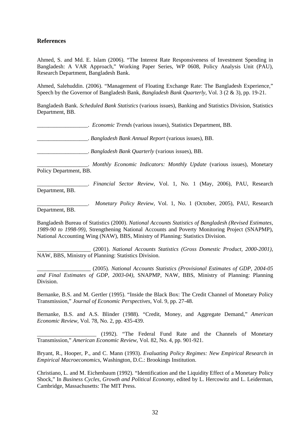#### **References**

Ahmed, S. and Md. E. Islam (2006). "The Interest Rate Responsiveness of Investment Spending in Bangladesh: A VAR Approach," Working Paper Series, WP 0608, Policy Analysis Unit (PAU), Research Department, Bangladesh Bank.

Ahmed, Salehuddin. (2006). "Management of Floating Exchange Rate: The Bangladesh Experience," Speech by the Governor of Bangladesh Bank, *Bangladesh Bank Quarterly*, Vol. 3 (2 & 3), pp. 19-21.

Bangladesh Bank. *Scheduled Bank Statistics* (various issues), Banking and Statistics Division, Statistics Department, BB.

\_\_\_\_\_\_\_\_\_\_\_\_\_\_\_\_\_\_. *Economic Trends* (various issues), Statistics Department, BB.

\_\_\_\_\_\_\_\_\_\_\_\_\_\_\_\_\_\_. *Bangladesh Bank Annual Report* (various issues), BB.

\_\_\_\_\_\_\_\_\_\_\_\_\_\_\_\_\_\_. *Bangladesh Bank Quarterly* (various issues), BB.

\_\_\_\_\_\_\_\_\_\_\_\_\_\_\_\_\_\_. *Monthly Economic Indicators: Monthly Update* (various issues), Monetary Policy Department, BB.

\_\_\_\_\_\_\_\_\_\_\_\_\_\_\_\_\_\_. *Financial Sector Review*, Vol. 1, No. 1 (May, 2006), PAU, Research Department, BB.

\_\_\_\_\_\_\_\_\_\_\_\_\_\_\_\_\_\_. *Monetary Policy Review*, Vol. 1, No. 1 (October, 2005), PAU, Research Department, BB.

Bangladesh Bureau of Statistics (2000). *National Accounts Statistics of Bangladesh (Revised Estimates, 1989-90 to 1998-99)*, Strengthening National Accounts and Poverty Monitoring Project (SNAPMP), National Accounting Wing (NAW), BBS, Ministry of Planning: Statistics Division.

\_\_\_\_\_\_\_\_\_\_\_\_\_\_\_\_\_\_\_ (2001). *National Accounts Statistics (Gross Domestic Product, 2000-2001)*, NAW, BBS, Ministry of Planning: Statistics Division.

\_\_\_\_\_\_\_\_\_\_\_\_\_\_\_\_\_\_\_ (2005). *National Accounts Statistics (Provisional Estimates of GDP, 2004-05 and Final Estimates of GDP, 2003-04)*, SNAPMP, NAW, BBS, Ministry of Planning: Planning Division.

Bernanke, B.S. and M. Gertler (1995). "Inside the Black Box: The Credit Channel of Monetary Policy Transmission," *Journal of Economic Perspectives*, Vol. 9, pp. 27-48.

Bernanke, B.S. and A.S. Blinder (1988). "Credit, Money, and Aggregate Demand," *American Economic Review*, Vol. 78, No. 2, pp. 435-439.

\_\_\_\_\_\_\_\_\_\_\_\_\_\_\_\_\_\_\_\_\_ (1992). "The Federal Fund Rate and the Channels of Monetary Transmission," *American Economic Review*, Vol. 82, No. 4, pp. 901-921.

Bryant, R., Hooper, P., and C. Mann (1993). *Evaluating Policy Regimes: New Empirical Research in Empirical Macroeconomics*, Washington, D.C.: Brookings Institution.

Christiano, L. and M. Eichenbaum (1992). "Identification and the Liquidity Effect of a Monetary Policy Shock," In *Business Cycles, Growth and Political Economy*, edited by L. Hercowitz and L. Leiderman, Cambridge, Massachusetts: The MIT Press.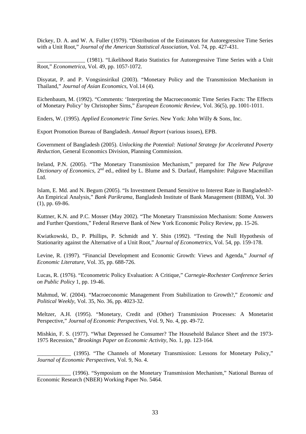Dickey, D. A. and W. A. Fuller (1979). "Distribution of the Estimators for Autoregressive Time Series with a Unit Root," *Journal of the American Statistical Association*, Vol. 74, pp. 427-431.

\_\_\_\_\_\_\_\_\_\_\_\_\_\_\_\_\_ (1981). "Likelihood Ratio Statistics for Autoregressive Time Series with a Unit Root," *Econometrica*, Vol. 49, pp. 1057-1072.

Disyatat, P. and P. Vongsinsirikul (2003). "Monetary Policy and the Transmission Mechanism in Thailand," *Journal of Asian Economics*, Vol.14 (4).

Eichenbaum, M. (1992). "Comments: 'Interpreting the Macroeconomic Time Series Facts: The Effects of Monetary Policy' by Christopher Sims," *European Economic Review*, Vol. 36(5), pp. 1001-1011.

Enders, W. (1995). *Applied Econometric Time Series*. New York: John Willy & Sons, Inc.

Export Promotion Bureau of Bangladesh. *Annual Report* (various issues), EPB.

Government of Bangladesh (2005). *Unlocking the Potential: National Strategy for Accelerated Poverty Reduction*, General Economics Division, Planning Commission.

Ireland, P.N. (2005). "The Monetary Transmission Mechanism," prepared for *The New Palgrave Dictionary of Economics*, 2<sup>nd</sup> ed., edited by L. Blume and S. Durlauf, Hampshire: Palgrave Macmillan Ltd.

Islam, E. Md. and N. Begum (2005). "Is Investment Demand Sensitive to Interest Rate in Bangladesh?- An Empirical Analysis," *Bank Parikrama*, Bangladesh Institute of Bank Management (BIBM), Vol. 30 (1), pp. 69-86.

Kuttner, K.N. and P.C. Mosser (May 2002). "The Monetary Transmission Mechanism: Some Answers and Further Questions," Federal Reserve Bank of New York Economic Policy Review, pp. 15-26.

Kwiatkowski, D., P. Phillips, P. Schmidt and Y. Shin (1992). "Testing the Null Hypothesis of Stationarity against the Alternative of a Unit Root," *Journal of Econometrics*, Vol. 54, pp. 159-178.

Levine, R. (1997). "Financial Development and Economic Growth: Views and Agenda," *Journal of Economic Literature*, Vol. 35, pp. 688-726.

Lucas, R. (1976). "Econometric Policy Evaluation: A Critique," *Carnegie-Rochester Conference Series on Public Policy* 1, pp. 19-46.

Mahmud, W. (2004). "Macroeconomic Management From Stabilization to Growth?," *Economic and Political Weekly*, Vol. 35, No. 36, pp. 4023-32.

Meltzer, A.H. (1995). "Monetary, Credit and (Other) Transmission Processes: A Monetarist Perspective," *Journal of Economic Perspectives*, Vol. 9, No. 4, pp. 49-72.

Mishkin, F. S. (1977). "What Depressed he Consumer? The Household Balance Sheet and the 1973- 1975 Recession," *Brookings Paper on Economic Activity*, No. 1, pp. 123-164.

\_\_\_\_\_\_\_\_\_\_\_\_ (1995). "The Channels of Monetary Transmission: Lessons for Monetary Policy," *Journal of Economic Perspectives*, Vol. 9, No. 4.

\_\_\_\_\_\_\_\_\_\_\_\_ (1996). "Symposium on the Monetary Transmission Mechanism," National Bureau of Economic Research (NBER) Working Paper No. 5464.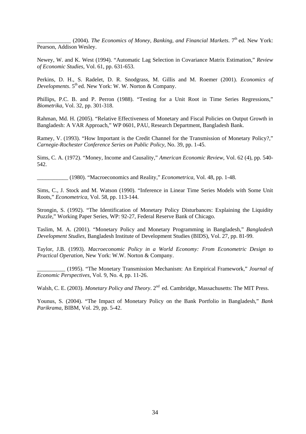(2004). *The Economics of Money, Banking, and Financial Markets*. 7<sup>th</sup> ed. New York: Pearson, Addison Wesley.

Newey, W. and K. West (1994). "Automatic Lag Selection in Covariance Matrix Estimation," *Review of Economic Studies,* Vol. 61, pp. 631-653.

Perkins, D. H., S. Radelet, D. R. Snodgrass, M. Gillis and M. Roemer (2001). *Economics of Developments*. 5<sup>th</sup> ed. New York: W. W. Norton & Company.

Phillips, P.C. B. and P. Perron (1988). "Testing for a Unit Root in Time Series Regressions," *Biometrika,* Vol. 32, pp. 301-318.

Rahman, Md. H. (2005). "Relative Effectiveness of Monetary and Fiscal Policies on Output Growth in Bangladesh: A VAR Approach," WP 0601, PAU, Research Department, Bangladesh Bank.

Ramey, V. (1993). "How Important is the Credit Channel for the Transmission of Monetary Policy?," *Carnegie-Rochester Conference Series on Public Policy*, No. 39, pp. 1-45.

Sims, C. A. (1972). "Money, Income and Causality," *American Economic Review*, Vol. 62 (4), pp. 540- 542.

\_\_\_\_\_\_\_\_\_\_\_ (1980). "Macroeconomics and Reality," *Econometrica*, Vol. 48, pp. 1-48.

Sims, C., J. Stock and M. Watson (1990). "Inference in Linear Time Series Models with Some Unit Roots," *Econometrica*, Vol. 58, pp. 113-144.

Strongin, S. (1992). "The Identification of Monetary Policy Disturbances: Explaining the Liquidity Puzzle," Working Paper Series, WP: 92-27, Federal Reserve Bank of Chicago.

Taslim, M. A. (2001). "Monetary Policy and Monetary Programming in Bangladesh," *Bangladesh Development Studies*, Bangladesh Institute of Development Studies (BIDS), Vol. 27, pp. 81-99.

Taylor, J.B. (1993). *Macroeconomic Policy in a World Economy: From Econometric Design to Practical Operation*, New York: W.W. Norton & Company.

\_\_\_\_\_\_\_\_\_\_ (1995). "The Monetary Transmission Mechanism: An Empirical Framework," *Journal of Economic Perspectives,* Vol. 9, No. 4, pp. 11-26.

Walsh, C. E. (2003). *Monetary Policy and Theory*. 2<sup>nd</sup> ed. Cambridge, Massachusetts: The MIT Press.

Younus, S. (2004). "The Impact of Monetary Policy on the Bank Portfolio in Bangladesh," *Bank Parikrama*, BIBM, Vol. 29, pp. 5-42.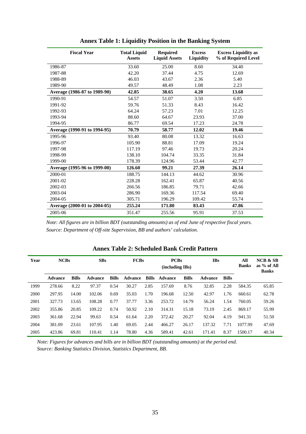| <b>Fiscal Year</b>           | <b>Total Liquid</b><br><b>Assets</b> | <b>Required</b><br><b>Liquid Assets</b> | <b>Excess</b><br>Liquidity | <b>Excess Liquidity as</b><br>% of Required Level |
|------------------------------|--------------------------------------|-----------------------------------------|----------------------------|---------------------------------------------------|
| 1986-87                      | 33.60                                | 25.00                                   | 8.60                       | 34.40                                             |
| 1987-88                      | 42.20                                | 37.44                                   | 4.75                       | 12.69                                             |
| 1988-89                      | 46.03                                | 43.67                                   | 2.36                       | 5.40                                              |
| 1989-90                      | 49.57                                | 48.49                                   | 1.08                       | 2.23                                              |
| Average (1986-87 to 1989-90) | 42.85                                | 38.65                                   | 4.20                       | 13.68                                             |
| 1990-91                      | 54.57                                | 51.07                                   | 3.50                       | 6.85                                              |
| 1991-92                      | 59.76                                | 51.33                                   | 8.43                       | 16.42                                             |
| 1992-93                      | 64.24                                | 57.23                                   | 7.01                       | 12.25                                             |
| 1993-94                      | 88.60                                | 64.67                                   | 23.93                      | 37.00                                             |
| 1994-95                      | 86.77                                | 69.54                                   | 17.23                      | 24.78                                             |
| Average (1990-91 to 1994-95) | 70.79                                | 58.77                                   | 12.02                      | 19.46                                             |
| 1995-96                      | 93.40                                | 80.08                                   | 13.32                      | 16.63                                             |
| 1996-97                      | 105.90                               | 88.81                                   | 17.09                      | 19.24                                             |
| 1997-98                      | 117.19                               | 97.46                                   | 19.73                      | 20.24                                             |
| 1998-99                      | 138.10                               | 104.74                                  | 33.35                      | 31.84                                             |
| 1999-00                      | 178.39                               | 124.96                                  | 53.44                      | 42.77                                             |
| Average (1995-96 to 1999-00) | 126.60                               | 99.21                                   | 27.39                      | 26.14                                             |
| 2000-01                      | 188.75                               | 144.13                                  | 44.62                      | 30.96                                             |
| 2001-02                      | 228.28                               | 162.41                                  | 65.87                      | 40.56                                             |
| 2002-03                      | 266.56                               | 186.85                                  | 79.71                      | 42.66                                             |
| 2003-04                      | 286.90                               | 169.36                                  | 117.54                     | 69.40                                             |
| 2004-05                      | 305.71                               | 196.29                                  | 109.42                     | 55.74                                             |
| Average (2000-01 to 2004-05) | 255.24                               | 171.80                                  | 83.43                      | 47.86                                             |
| 2005-06                      | 351.47                               | 255.56                                  | 95.91                      | 37.53                                             |

**Annex Table 1: Liquidity Position in the Banking System** 

*Note: All figures are in billion BDT (outstanding amounts) as of end June of respective fiscal years. Source: Department of Off-site Supervision, BB and authors' calculation.* 

| Year | <b>NCBs</b>    |              | <b>SBs</b>     |              | <b>FCBs</b>    |              | <b>PCBs</b><br>(including IBs) |              | <b>IBs</b>     |              | All<br><b>Banks</b> | <b>NCB &amp; SB</b><br>as $%$ of All<br><b>Banks</b> |
|------|----------------|--------------|----------------|--------------|----------------|--------------|--------------------------------|--------------|----------------|--------------|---------------------|------------------------------------------------------|
|      | <b>Advance</b> | <b>Bills</b> | <b>Advance</b> | <b>Bills</b> | <b>Advance</b> | <b>Bills</b> | Advance                        | <b>Bills</b> | <b>Advance</b> | <b>Bills</b> |                     |                                                      |
| 1999 | 278.66         | 8.22         | 97.37          | 0.54         | 30.27          | 2.85         | 157.69                         | 8.76         | 32.85          | 2.28         | 584.35              | 65.85                                                |
| 2000 | 297.95         | 14.00        | 102.06         | 0.69         | 35.03          | 1.70         | 196.68                         | 12.50        | 42.97          | 1.76         | 660.61              | 62.78                                                |
| 2001 | 327.73         | 13.65        | 108.28         | 0.77         | 37.77          | 3.36         | 253.72                         | 14.79        | 56.24          | 1.54         | 760.05              | 59.26                                                |
| 2002 | 355.86         | 20.85        | 109.22         | 0.74         | 50.92          | 2.10         | 314.31                         | 15.18        | 73.19          | 2.45         | 869.17              | 55.99                                                |
| 2003 | 361.68         | 22.94        | 99.63          | 0.54         | 61.64          | 2.20         | 372.42                         | 20.27        | 92.04          | 4.19         | 941.31              | 51.50                                                |
| 2004 | 381.09         | 23.61        | 107.95         | 1.40         | 69.05          | 2.44         | 466.27                         | 26.17        | 137.32         | 7.71         | 1077.99             | 47.69                                                |
| 2005 | 423.86         | 69.81        | 110.41         | 1.14         | 78.80          | 4.36         | 589.41                         | 42.61        | 171.41         | 8.37         | 1500.17             | 40.34                                                |

#### **Annex Table 2: Scheduled Bank Credit Pattern**

*Note: Figures for advances and bills are in billion BDT (outstanding amounts) at the period end. Source: Banking Statistics Division, Statistics Department, BB.*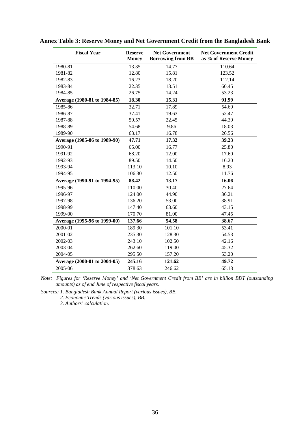| <b>Fiscal Year</b>           | <b>Reserve</b><br><b>Money</b> | <b>Net Government</b><br><b>Borrowing from BB</b> | <b>Net Government Credit</b><br>as % of Reserve Money |
|------------------------------|--------------------------------|---------------------------------------------------|-------------------------------------------------------|
| 1980-81                      | 13.35                          | 14.77                                             | 110.64                                                |
| 1981-82                      | 12.80                          | 15.81                                             | 123.52                                                |
| 1982-83                      | 16.23                          | 18.20                                             | 112.14                                                |
| 1983-84                      | 22.35                          | 13.51                                             | 60.45                                                 |
| 1984-85                      | 26.75                          | 14.24                                             | 53.23                                                 |
| Average (1980-81 to 1984-85) | 18.30                          | 15.31                                             | 91.99                                                 |
| 1985-86                      | 32.71                          | 17.89                                             | 54.69                                                 |
| 1986-87                      | 37.41                          | 19.63                                             | 52.47                                                 |
| 1987-88                      | 50.57                          | 22.45                                             | 44.39                                                 |
| 1988-89                      | 54.68                          | 9.86                                              | 18.03                                                 |
| 1989-90                      | 63.17                          | 16.78                                             | 26.56                                                 |
| Average (1985-86 to 1989-90) | 47.71                          | 17.32                                             | 39.23                                                 |
| 1990-91                      | 65.00                          | 16.77                                             | 25.80                                                 |
| 1991-92                      | 68.20                          | 12.00                                             | 17.60                                                 |
| 1992-93                      | 89.50                          | 14.50                                             | 16.20                                                 |
| 1993-94                      | 113.10                         | 10.10                                             | 8.93                                                  |
| 1994-95                      | 106.30                         | 12.50                                             | 11.76                                                 |
| Average (1990-91 to 1994-95) | 88.42                          | 13.17                                             | 16.06                                                 |
| 1995-96                      | 110.00                         | 30.40                                             | 27.64                                                 |
| 1996-97                      | 124.00                         | 44.90                                             | 36.21                                                 |
| 1997-98                      | 136.20                         | 53.00                                             | 38.91                                                 |
| 1998-99                      | 147.40                         | 63.60                                             | 43.15                                                 |
| 1999-00                      | 170.70                         | 81.00                                             | 47.45                                                 |
| Average (1995-96 to 1999-00) | 137.66                         | 54.58                                             | 38.67                                                 |
| 2000-01                      | 189.30                         | 101.10                                            | 53.41                                                 |
| 2001-02                      | 235.30                         | 128.30                                            | 54.53                                                 |
| 2002-03                      | 243.10                         | 102.50                                            | 42.16                                                 |
| 2003-04                      | 262.60                         | 119.00                                            | 45.32                                                 |
| 2004-05                      | 295.50                         | 157.20                                            | 53.20                                                 |
| Average (2000-01 to 2004-05) | 245.16                         | 121.62                                            | 49.72                                                 |
| 2005-06                      | 378.63                         | 246.62                                            | 65.13                                                 |

## **Annex Table 3: Reserve Money and Net Government Credit from the Bangladesh Bank**

 *Note: Figures for 'Reserve Money' and 'Net Government Credit from BB' are in billion BDT (outstanding amounts) as of end June of respective fiscal years.* 

 *Sources: 1. Bangladesh Bank Annual Report (various issues), BB.* 

 *2. Economic Trends (various issues), BB.* 

 *3. Authors' calculation.*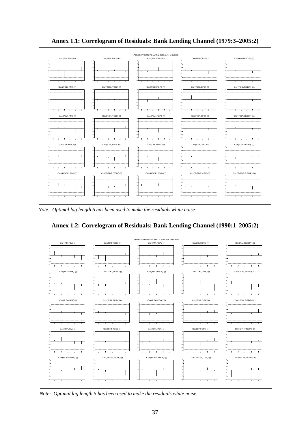

**Annex 1.1: Correlogram of Residuals: Bank Lending Channel (1979:3–2005:2)** 

*Note: Optimal lag length 6 has been used to make the residuals white noise.* 



**Annex 1.2: Correlogram of Residuals: Bank Lending Channel (1990:1–2005:2)** 

 *Note: Optimal lag length 5 has been used to make the residuals white noise.*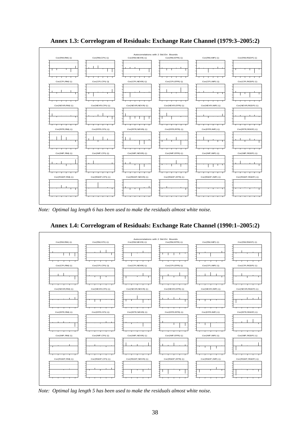

**Annex 1.3: Correlogram of Residuals: Exchange Rate Channel (1979:3–2005:2)** 

 *Note: Optimal lag length 6 has been used to make the residuals almost white noise.* 



**Annex 1.4: Correlogram of Residuals: Exchange Rate Channel (1990:1–2005:2)** 

*Note: Optimal lag length 5 has been used to make the residuals almost white noise.*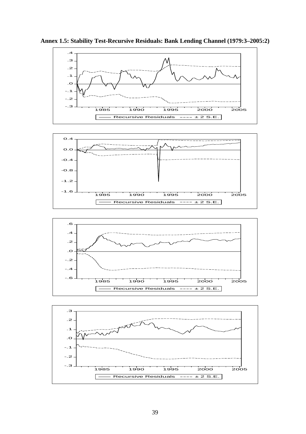

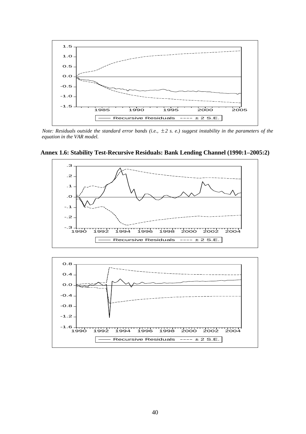

*Note: Residuals outside the standard error bands (i.e.,*  $\pm 2$  *s. e.) suggest instability in the parameters of the equation in the VAR model.* 



**Annex 1.6: Stability Test-Recursive Residuals: Bank Lending Channel (1990:1–2005:2)** 

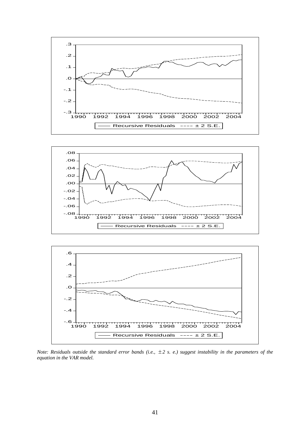





*Note: Residuals outside the standard error bands (i.e.,*  $\pm 2$  *s. e.) suggest instability in the parameters of the equation in the VAR model.*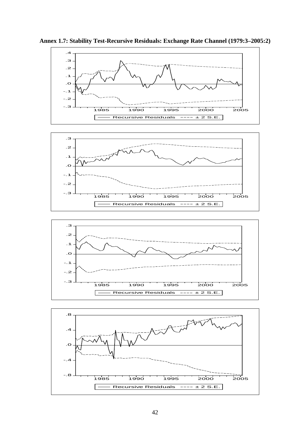





 $\Box$ 

Recursive Residuals  $--- \pm 2$  S.E.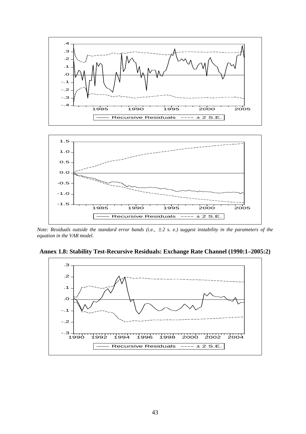

*Note: Residuals outside the standard error bands (i.e.,*  $\pm 2$  *s. e.) suggest instability in the parameters of the equation in the VAR model.*

**Annex 1.8: Stability Test-Recursive Residuals: Exchange Rate Channel (1990:1–2005:2)** 

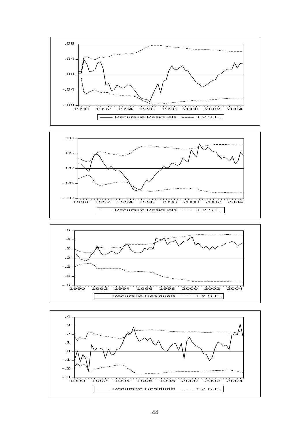